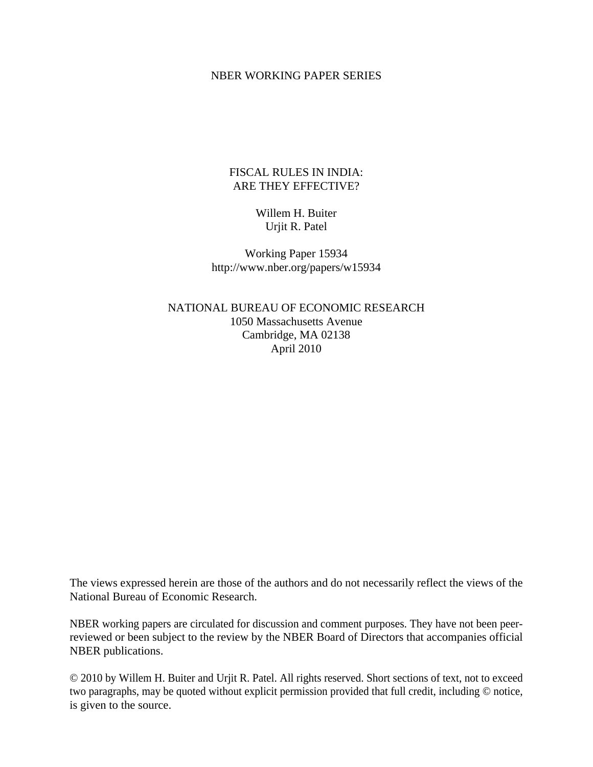#### NBER WORKING PAPER SERIES

# FISCAL RULES IN INDIA: ARE THEY EFFECTIVE?

# Willem H. Buiter Urjit R. Patel

Working Paper 15934 http://www.nber.org/papers/w15934

NATIONAL BUREAU OF ECONOMIC RESEARCH 1050 Massachusetts Avenue Cambridge, MA 02138 April 2010

The views expressed herein are those of the authors and do not necessarily reflect the views of the National Bureau of Economic Research.

NBER working papers are circulated for discussion and comment purposes. They have not been peerreviewed or been subject to the review by the NBER Board of Directors that accompanies official NBER publications.

© 2010 by Willem H. Buiter and Urjit R. Patel. All rights reserved. Short sections of text, not to exceed two paragraphs, may be quoted without explicit permission provided that full credit, including © notice, is given to the source.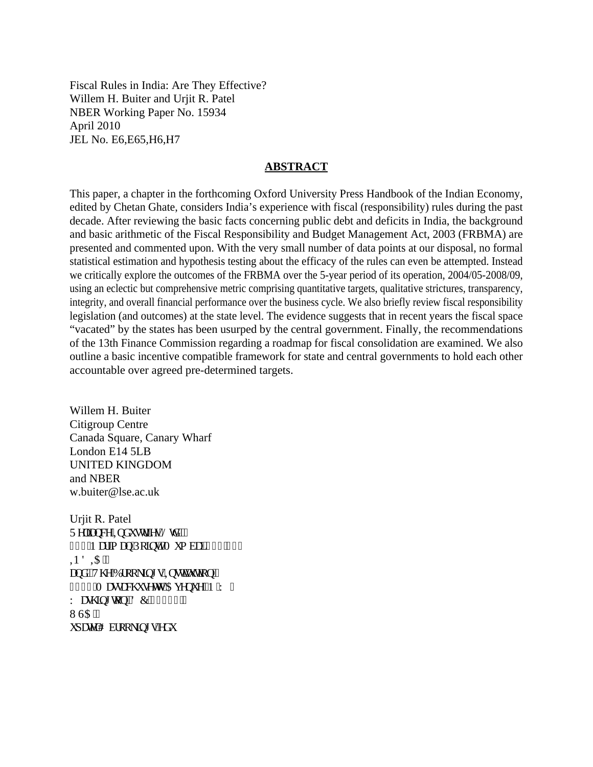Fiscal Rules in India: Are They Effective? Willem H. Buiter and Urjit R. Patel NBER Working Paper No. 15934 April 2010 JEL No. E6,E65,H6,H7

### **ABSTRACT**

This paper, a chapter in the forthcoming Oxford University Press Handbook of the Indian Economy, edited by Chetan Ghate, considers India's experience with fiscal (responsibility) rules during the past decade. After reviewing the basic facts concerning public debt and deficits in India, the background and basic arithmetic of the Fiscal Responsibility and Budget Management Act, 2003 (FRBMA) are presented and commented upon. With the very small number of data points at our disposal, no formal statistical estimation and hypothesis testing about the efficacy of the rules can even be attempted. Instead we critically explore the outcomes of the FRBMA over the 5-year period of its operation, 2004/05-2008/09, using an eclectic but comprehensive metric comprising quantitative targets, qualitative strictures, transparency, integrity, and overall financial performance over the business cycle. We also briefly review fiscal responsibility legislation (and outcomes) at the state level. The evidence suggests that in recent years the fiscal space "vacated" by the states has been usurped by the central government. Finally, the recommendations of the 13th Finance Commission regarding a roadmap for fiscal consolidation are examined. We also outline a basic incentive compatible framework for state and central governments to hold each other accountable over agreed pre-determined targets.

Willem H. Buiter Citigroup Centre Canada Square, Canary Wharf London E14 5LB UNITED KINGDOM and NBER w.buiter@lse.ac.uk

Urjit R. Patel T grkcpeg'Kpf www.kgu'Nvf 0" 444'P ctko cp'Rgkpy.'O wo dck'622'243  $R$ FK" cpf ""Vj g"Dtqqmkpi u"Kpurkwwkqp"" 3997'O curcej wugwu' $Cx$ gpwg.' $P$  $(Y 0)$ Y cuj kpi vqp.'FE'42258"' WC" w cygnB dtqqmkpi u0gf w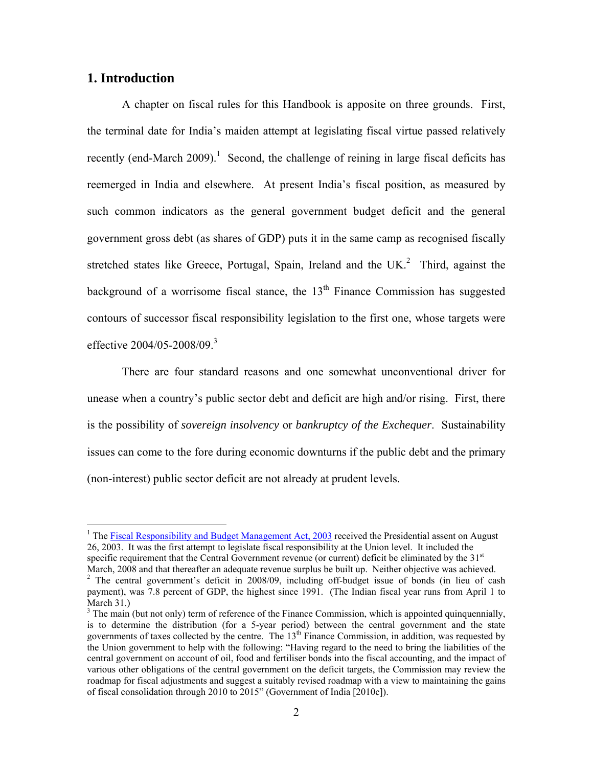# **1. Introduction**

 $\overline{a}$ 

A chapter on fiscal rules for this Handbook is apposite on three grounds. First, the terminal date for India's maiden attempt at legislating fiscal virtue passed relatively recently (end-March 2009).<sup>1</sup> Second, the challenge of reining in large fiscal deficits has reemerged in India and elsewhere. At present India's fiscal position, as measured by such common indicators as the general government budget deficit and the general government gross debt (as shares of GDP) puts it in the same camp as recognised fiscally stretched states like Greece, Portugal, Spain, Ireland and the UK. $^2$  Third, against the background of a worrisome fiscal stance, the  $13<sup>th</sup>$  Finance Commission has suggested contours of successor fiscal responsibility legislation to the first one, whose targets were effective  $2004/05 - 2008/09$ .<sup>3</sup>

There are four standard reasons and one somewhat unconventional driver for unease when a country's public sector debt and deficit are high and/or rising. First, there is the possibility of *sovereign insolvency* or *bankruptcy of the Exchequer*. Sustainability issues can come to the fore during economic downturns if the public debt and the primary (non-interest) public sector deficit are not already at prudent levels.

<sup>&</sup>lt;sup>1</sup> The Fiscal Responsibility and Budget Management Act, 2003 received the Presidential assent on August 26, 2003. It was the first attempt to legislate fiscal responsibility at the Union level. It included the specific requirement that the Central Government revenue (or current) deficit be eliminated by the  $31<sup>st</sup>$ March, 2008 and that thereafter an adequate revenue surplus be built up. Neither objective was achieved.

<sup>&</sup>lt;sup>2</sup> The central government's deficit in 2008/09, including off-budget issue of bonds (in lieu of cash payment), was 7.8 percent of GDP, the highest since 1991. (The Indian fiscal year runs from April 1 to March 31.)

 $3$  The main (but not only) term of reference of the Finance Commission, which is appointed quinquennially, is to determine the distribution (for a 5-year period) between the central government and the state governments of taxes collected by the centre. The 13<sup>th</sup> Finance Commission, in addition, was requested by the Union government to help with the following: "Having regard to the need to bring the liabilities of the central government on account of oil, food and fertiliser bonds into the fiscal accounting, and the impact of various other obligations of the central government on the deficit targets, the Commission may review the roadmap for fiscal adjustments and suggest a suitably revised roadmap with a view to maintaining the gains of fiscal consolidation through 2010 to 2015" (Government of India [2010c]).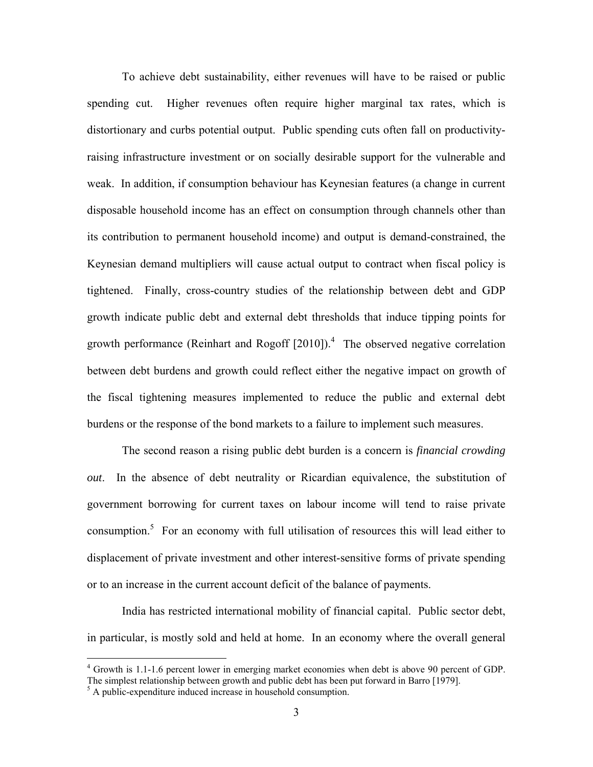To achieve debt sustainability, either revenues will have to be raised or public spending cut. Higher revenues often require higher marginal tax rates, which is distortionary and curbs potential output. Public spending cuts often fall on productivityraising infrastructure investment or on socially desirable support for the vulnerable and weak. In addition, if consumption behaviour has Keynesian features (a change in current disposable household income has an effect on consumption through channels other than its contribution to permanent household income) and output is demand-constrained, the Keynesian demand multipliers will cause actual output to contract when fiscal policy is tightened. Finally, cross-country studies of the relationship between debt and GDP growth indicate public debt and external debt thresholds that induce tipping points for growth performance (Reinhart and Rogoff  $[2010]$ ).<sup>4</sup> The observed negative correlation between debt burdens and growth could reflect either the negative impact on growth of the fiscal tightening measures implemented to reduce the public and external debt burdens or the response of the bond markets to a failure to implement such measures.

The second reason a rising public debt burden is a concern is *financial crowding out*. In the absence of debt neutrality or Ricardian equivalence, the substitution of government borrowing for current taxes on labour income will tend to raise private consumption.<sup>5</sup> For an economy with full utilisation of resources this will lead either to displacement of private investment and other interest-sensitive forms of private spending or to an increase in the current account deficit of the balance of payments.

India has restricted international mobility of financial capital. Public sector debt, in particular, is mostly sold and held at home. In an economy where the overall general

 $\overline{a}$ 

<sup>&</sup>lt;sup>4</sup> Growth is 1.1-1.6 percent lower in emerging market economies when debt is above 90 percent of GDP. The simplest relationship between growth and public debt has been put forward in Barro [1979].

<sup>&</sup>lt;sup>5</sup> A public-expenditure induced increase in household consumption.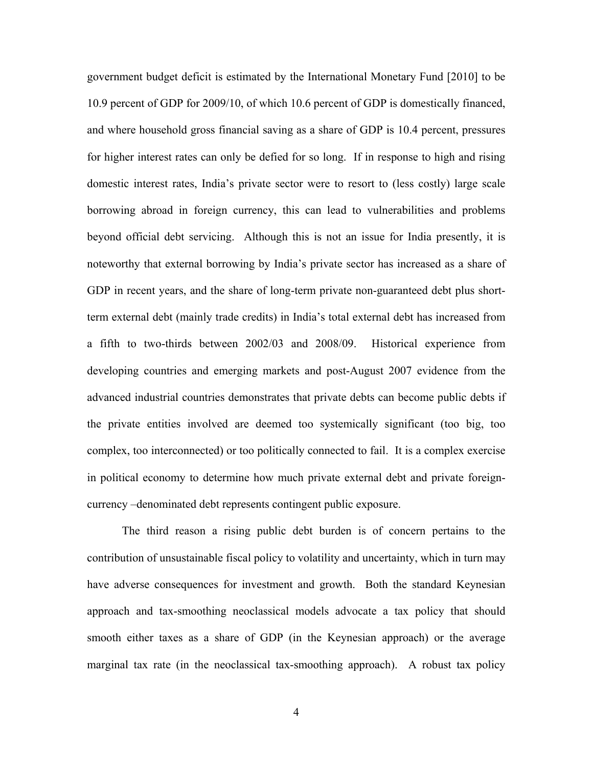government budget deficit is estimated by the International Monetary Fund [2010] to be 10.9 percent of GDP for 2009/10, of which 10.6 percent of GDP is domestically financed, and where household gross financial saving as a share of GDP is 10.4 percent, pressures for higher interest rates can only be defied for so long. If in response to high and rising domestic interest rates, India's private sector were to resort to (less costly) large scale borrowing abroad in foreign currency, this can lead to vulnerabilities and problems beyond official debt servicing. Although this is not an issue for India presently, it is noteworthy that external borrowing by India's private sector has increased as a share of GDP in recent years, and the share of long-term private non-guaranteed debt plus shortterm external debt (mainly trade credits) in India's total external debt has increased from a fifth to two-thirds between 2002/03 and 2008/09. Historical experience from developing countries and emerging markets and post-August 2007 evidence from the advanced industrial countries demonstrates that private debts can become public debts if the private entities involved are deemed too systemically significant (too big, too complex, too interconnected) or too politically connected to fail. It is a complex exercise in political economy to determine how much private external debt and private foreigncurrency –denominated debt represents contingent public exposure.

The third reason a rising public debt burden is of concern pertains to the contribution of unsustainable fiscal policy to volatility and uncertainty, which in turn may have adverse consequences for investment and growth. Both the standard Keynesian approach and tax-smoothing neoclassical models advocate a tax policy that should smooth either taxes as a share of GDP (in the Keynesian approach) or the average marginal tax rate (in the neoclassical tax-smoothing approach). A robust tax policy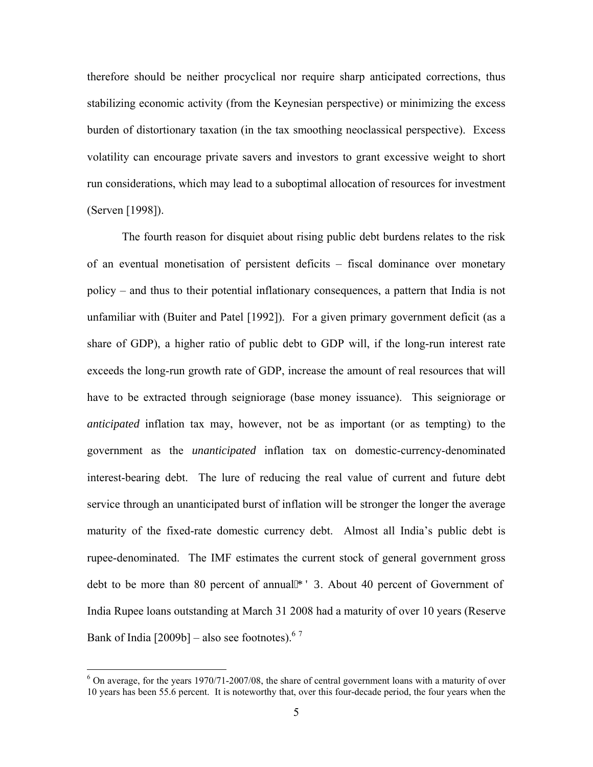therefore should be neither procyclical nor require sharp anticipated corrections, thus stabilizing economic activity (from the Keynesian perspective) or minimizing the excess burden of distortionary taxation (in the tax smoothing neoclassical perspective). Excess volatility can encourage private savers and investors to grant excessive weight to short run considerations, which may lead to a suboptimal allocation of resources for investment (Serven [1998]).

The fourth reason for disquiet about rising public debt burdens relates to the risk of an eventual monetisation of persistent deficits – fiscal dominance over monetary policy – and thus to their potential inflationary consequences, a pattern that India is not unfamiliar with (Buiter and Patel [1992]). For a given primary government deficit (as a share of GDP), a higher ratio of public debt to GDP will, if the long-run interest rate exceeds the long-run growth rate of GDP, increase the amount of real resources that will have to be extracted through seigniorage (base money issuance). This seigniorage or *anticipated* inflation tax may, however, not be as important (or as tempting) to the government as the *unanticipated* inflation tax on domestic-currency-denominated interest-bearing debt. The lure of reducing the real value of current and future debt service through an unanticipated burst of inflation will be stronger the longer the average maturity of the fixed-rate domestic currency debt. Almost all India's public debt is rupee-denominated. The IMF estimates the current stock of general government gross debt to be more than 80 percent of annual<sup>"</sup> IFR About 40 percent of Government of India Rupee loans outstanding at March 31 2008 had a maturity of over 10 years (Reserve Bank of India  $[2009b]$  – also see footnotes).<sup>67</sup>

<sup>&</sup>lt;sup>6</sup> On average, for the years 1970/71-2007/08, the share of central government loans with a maturity of over 10 years has been 55.6 percent. It is noteworthy that, over this four-decade period, the four years when the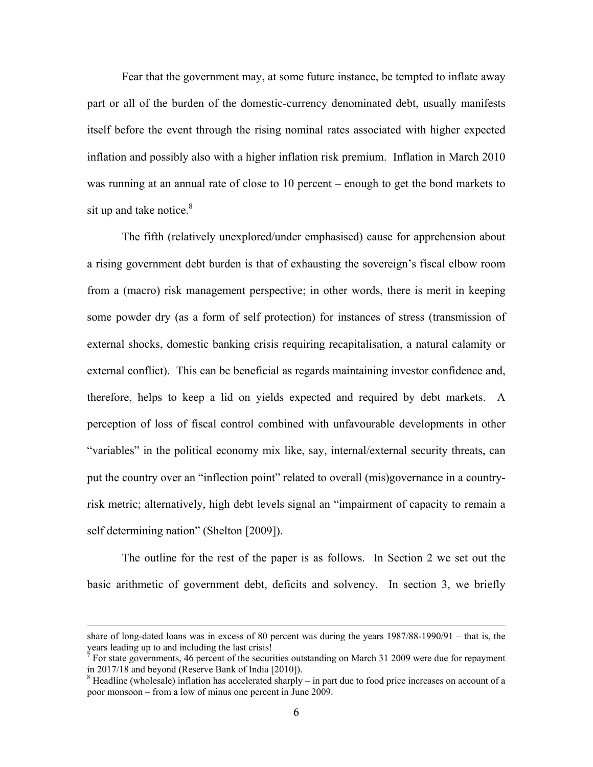Fear that the government may, at some future instance, be tempted to inflate away part or all of the burden of the domestic-currency denominated debt, usually manifests itself before the event through the rising nominal rates associated with higher expected inflation and possibly also with a higher inflation risk premium. Inflation in March 2010 was running at an annual rate of close to 10 percent – enough to get the bond markets to sit up and take notice. $8$ 

The fifth (relatively unexplored/under emphasised) cause for apprehension about a rising government debt burden is that of exhausting the sovereign's fiscal elbow room from a (macro) risk management perspective; in other words, there is merit in keeping some powder dry (as a form of self protection) for instances of stress (transmission of external shocks, domestic banking crisis requiring recapitalisation, a natural calamity or external conflict). This can be beneficial as regards maintaining investor confidence and, therefore, helps to keep a lid on yields expected and required by debt markets. A perception of loss of fiscal control combined with unfavourable developments in other "variables" in the political economy mix like, say, internal/external security threats, can put the country over an "inflection point" related to overall (mis)governance in a countryrisk metric; alternatively, high debt levels signal an "impairment of capacity to remain a self determining nation" (Shelton [2009]).

The outline for the rest of the paper is as follows. In Section 2 we set out the basic arithmetic of government debt, deficits and solvency. In section 3, we briefly

share of long-dated loans was in excess of 80 percent was during the years 1987/88-1990/91 – that is, the years leading up to and including the last crisis! 7

 $\frac{7}{1}$  For state governments, 46 percent of the securities outstanding on March 31 2009 were due for repayment in 2017/18 and beyond (Reserve Bank of India [2010]).

 $8$  Headline (wholesale) inflation has accelerated sharply – in part due to food price increases on account of a poor monsoon – from a low of minus one percent in June 2009.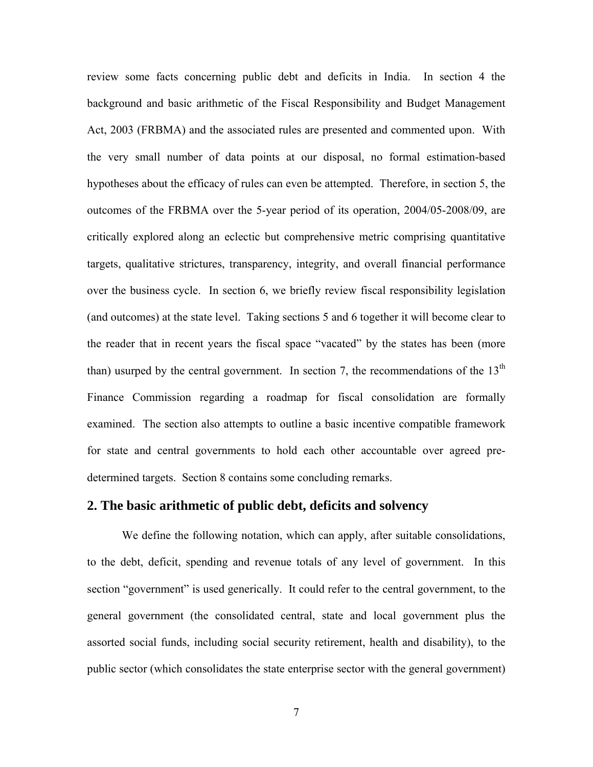review some facts concerning public debt and deficits in India. In section 4 the background and basic arithmetic of the Fiscal Responsibility and Budget Management Act, 2003 (FRBMA) and the associated rules are presented and commented upon. With the very small number of data points at our disposal, no formal estimation-based hypotheses about the efficacy of rules can even be attempted. Therefore, in section 5, the outcomes of the FRBMA over the 5-year period of its operation, 2004/05-2008/09, are critically explored along an eclectic but comprehensive metric comprising quantitative targets, qualitative strictures, transparency, integrity, and overall financial performance over the business cycle. In section 6, we briefly review fiscal responsibility legislation (and outcomes) at the state level. Taking sections 5 and 6 together it will become clear to the reader that in recent years the fiscal space "vacated" by the states has been (more than) usurped by the central government. In section 7, the recommendations of the  $13<sup>th</sup>$ Finance Commission regarding a roadmap for fiscal consolidation are formally examined. The section also attempts to outline a basic incentive compatible framework for state and central governments to hold each other accountable over agreed predetermined targets. Section 8 contains some concluding remarks.

# **2. The basic arithmetic of public debt, deficits and solvency**

We define the following notation, which can apply, after suitable consolidations, to the debt, deficit, spending and revenue totals of any level of government. In this section "government" is used generically. It could refer to the central government, to the general government (the consolidated central, state and local government plus the assorted social funds, including social security retirement, health and disability), to the public sector (which consolidates the state enterprise sector with the general government)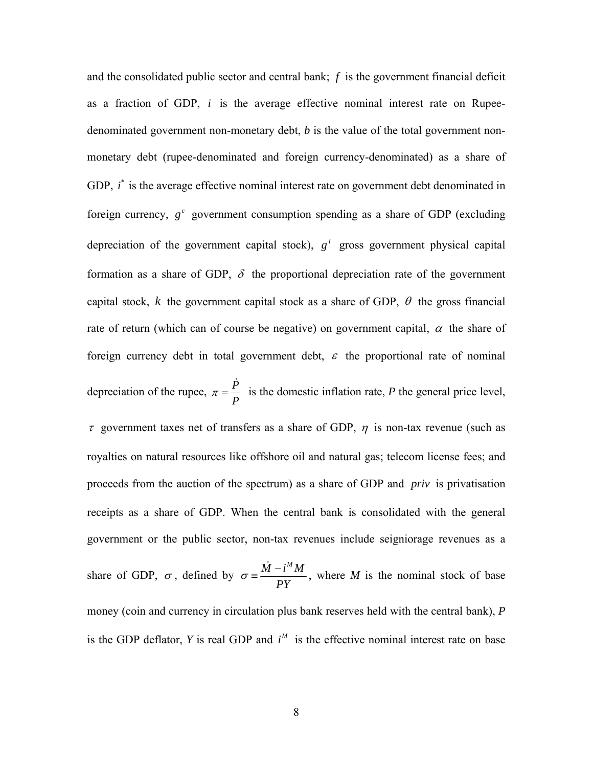and the consolidated public sector and central bank; *f* is the government financial deficit as a fraction of GDP, *i* is the average effective nominal interest rate on Rupeedenominated government non-monetary debt, *b* is the value of the total government nonmonetary debt (rupee-denominated and foreign currency-denominated) as a share of GDP, *i*<sup>\*</sup> is the average effective nominal interest rate on government debt denominated in foreign currency,  $g^c$  government consumption spending as a share of GDP (excluding depreciation of the government capital stock),  $g^I$  gross government physical capital formation as a share of GDP,  $\delta$  the proportional depreciation rate of the government capital stock, k the government capital stock as a share of GDP,  $\theta$  the gross financial rate of return (which can of course be negative) on government capital,  $\alpha$  the share of foreign currency debt in total government debt,  $\varepsilon$  the proportional rate of nominal depreciation of the rupee,  $\pi = \frac{\dot{P}}{P}$ *P*  $\pi = \frac{\dot{P}}{P}$  is the domestic inflation rate, *P* the general price level,  $\tau$  government taxes net of transfers as a share of GDP,  $\eta$  is non-tax revenue (such as royalties on natural resources like offshore oil and natural gas; telecom license fees; and proceeds from the auction of the spectrum) as a share of GDP and *priv* is privatisation receipts as a share of GDP. When the central bank is consolidated with the general government or the public sector, non-tax revenues include seigniorage revenues as a

share of GDP,  $\sigma$ , defined by  $\sigma = \frac{\dot{M} - i^M M}{\sigma}$ *PY*  $\sigma = \frac{\dot{M} - i^M M}{\sigma}$ , where *M* is the nominal stock of base money (coin and currency in circulation plus bank reserves held with the central bank), *P* is the GDP deflator, *Y* is real GDP and  $i^M$  is the effective nominal interest rate on base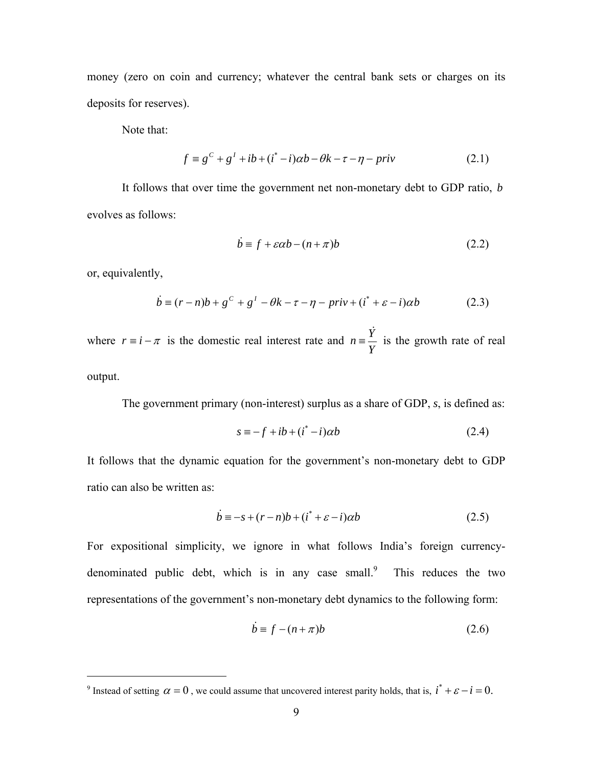money (zero on coin and currency; whatever the central bank sets or charges on its deposits for reserves).

Note that:

$$
f \equiv g^{c} + g^{l} + ib + (i^{*} - i)\alpha b - \theta k - \tau - \eta - priv
$$
 (2.1)

It follows that over time the government net non-monetary debt to GDP ratio, *b* evolves as follows:

$$
\dot{b} \equiv f + \varepsilon \alpha b - (n + \pi)b \tag{2.2}
$$

or, equivalently,

<u>.</u>

$$
\dot{b} \equiv (r - n)b + g^{c} + g^{l} - \theta k - \tau - \eta - priv + (i^{*} + \varepsilon - i)\alpha b
$$
 (2.3)

where  $r \equiv i - \pi$  is the domestic real interest rate and  $n \equiv \frac{Y}{x}$  $\frac{\dot{Y}}{Y}$  is the growth rate of real output.

The government primary (non-interest) surplus as a share of GDP, *s*, is defined as:

$$
s \equiv -f + ib + (i^* - i)\alpha b \tag{2.4}
$$

It follows that the dynamic equation for the government's non-monetary debt to GDP ratio can also be written as:

$$
\dot{b} = -s + (r - n)b + (i^* + \varepsilon - i)\alpha b \tag{2.5}
$$

For expositional simplicity, we ignore in what follows India's foreign currencydenominated public debt, which is in any case small. This reduces the two representations of the government's non-monetary debt dynamics to the following form:

$$
\dot{b} \equiv f - (n + \pi)b \tag{2.6}
$$

<sup>&</sup>lt;sup>9</sup> Instead of setting  $\alpha = 0$ , we could assume that uncovered interest parity holds, that is,  $i^* + \varepsilon - i = 0$ .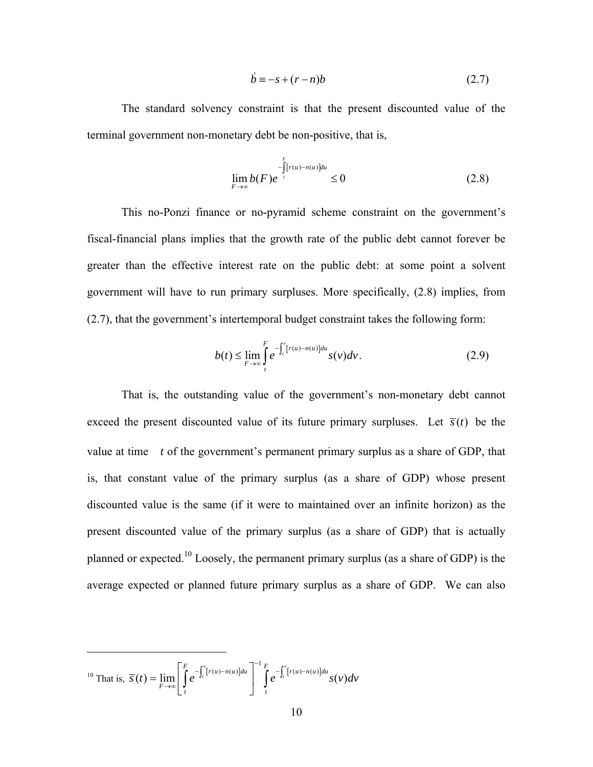$$
\dot{b} \equiv -s + (r - n)b \tag{2.7}
$$

 The standard solvency constraint is that the present discounted value of the terminal government non-monetary debt be non-positive, that is,

$$
\lim_{F \to \infty} b(F)e^{-\int_{-1}^{F} [r(u) - n(u)]du} \le 0
$$
\n(2.8)

 This no-Ponzi finance or no-pyramid scheme constraint on the government's fiscal-financial plans implies that the growth rate of the public debt cannot forever be greater than the effective interest rate on the public debt: at some point a solvent government will have to run primary surpluses. More specifically, (2.8) implies, from (2.7), that the government's intertemporal budget constraint takes the following form:

$$
b(t) \leq \lim_{F \to \infty} \int_{t}^{F} e^{-\int_{t}^{v} [r(u) - n(u)] du} s(v) dv.
$$
 (2.9)

 That is, the outstanding value of the government's non-monetary debt cannot exceed the present discounted value of its future primary surpluses. Let  $\bar{s}(t)$  be the value at time *t* of the government's permanent primary surplus as a share of GDP, that is, that constant value of the primary surplus (as a share of GDP) whose present discounted value is the same (if it were to maintained over an infinite horizon) as the present discounted value of the primary surplus (as a share of GDP) that is actually planned or expected.10 Loosely, the permanent primary surplus (as a share of GDP) is the average expected or planned future primary surplus as a share of GDP. We can also

$$
^{10}\text{ That is, }\overline{s}(t)=\lim_{F\to\infty}\left[\int\limits_{t}^{F}e^{-\int_{t}^{v}[r(u)-n(u)]du}\right]^{-1}\int\limits_{t}^{F}e^{-\int_{t}^{v}[r(u)-n(u)]du}s(v)dv
$$

 $\overline{a}$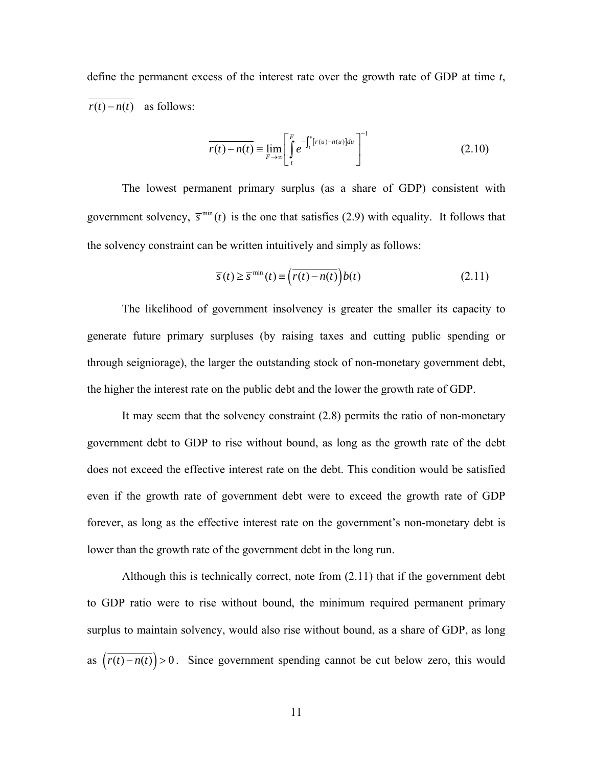define the permanent excess of the interest rate over the growth rate of GDP at time *t*,  $r(t) - n(t)$  as follows:

$$
\overline{r(t) - n(t)} \equiv \lim_{F \to \infty} \left[ \int_{t}^{F} e^{-\int_{t}^{v}[r(u) - n(u)]du} \right]^{-1}
$$
\n(2.10)

The lowest permanent primary surplus (as a share of GDP) consistent with government solvency,  $\bar{s}^{\min}(t)$  is the one that satisfies (2.9) with equality. It follows that the solvency constraint can be written intuitively and simply as follows:

$$
\overline{s}(t) \ge \overline{s}^{\min}(t) \equiv \left(\overline{r(t) - n(t)}\right) b(t)
$$
\n(2.11)

The likelihood of government insolvency is greater the smaller its capacity to generate future primary surpluses (by raising taxes and cutting public spending or through seigniorage), the larger the outstanding stock of non-monetary government debt, the higher the interest rate on the public debt and the lower the growth rate of GDP.

It may seem that the solvency constraint (2.8) permits the ratio of non-monetary government debt to GDP to rise without bound, as long as the growth rate of the debt does not exceed the effective interest rate on the debt. This condition would be satisfied even if the growth rate of government debt were to exceed the growth rate of GDP forever, as long as the effective interest rate on the government's non-monetary debt is lower than the growth rate of the government debt in the long run.

Although this is technically correct, note from (2.11) that if the government debt to GDP ratio were to rise without bound, the minimum required permanent primary surplus to maintain solvency, would also rise without bound, as a share of GDP, as long as  $(\overline{r(t)-n(t)}) > 0$ . Since government spending cannot be cut below zero, this would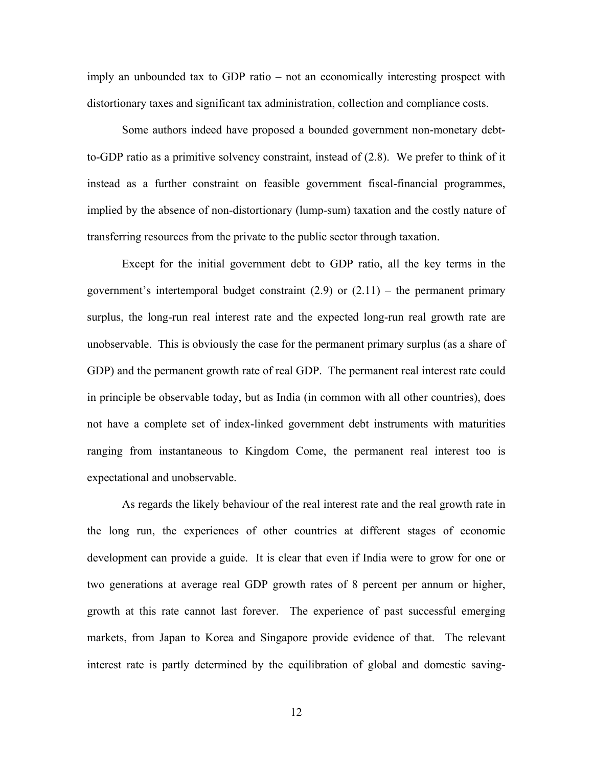imply an unbounded tax to GDP ratio – not an economically interesting prospect with distortionary taxes and significant tax administration, collection and compliance costs.

Some authors indeed have proposed a bounded government non-monetary debtto-GDP ratio as a primitive solvency constraint, instead of (2.8). We prefer to think of it instead as a further constraint on feasible government fiscal-financial programmes, implied by the absence of non-distortionary (lump-sum) taxation and the costly nature of transferring resources from the private to the public sector through taxation.

Except for the initial government debt to GDP ratio, all the key terms in the government's intertemporal budget constraint  $(2.9)$  or  $(2.11)$  – the permanent primary surplus, the long-run real interest rate and the expected long-run real growth rate are unobservable. This is obviously the case for the permanent primary surplus (as a share of GDP) and the permanent growth rate of real GDP. The permanent real interest rate could in principle be observable today, but as India (in common with all other countries), does not have a complete set of index-linked government debt instruments with maturities ranging from instantaneous to Kingdom Come, the permanent real interest too is expectational and unobservable.

As regards the likely behaviour of the real interest rate and the real growth rate in the long run, the experiences of other countries at different stages of economic development can provide a guide. It is clear that even if India were to grow for one or two generations at average real GDP growth rates of 8 percent per annum or higher, growth at this rate cannot last forever. The experience of past successful emerging markets, from Japan to Korea and Singapore provide evidence of that. The relevant interest rate is partly determined by the equilibration of global and domestic saving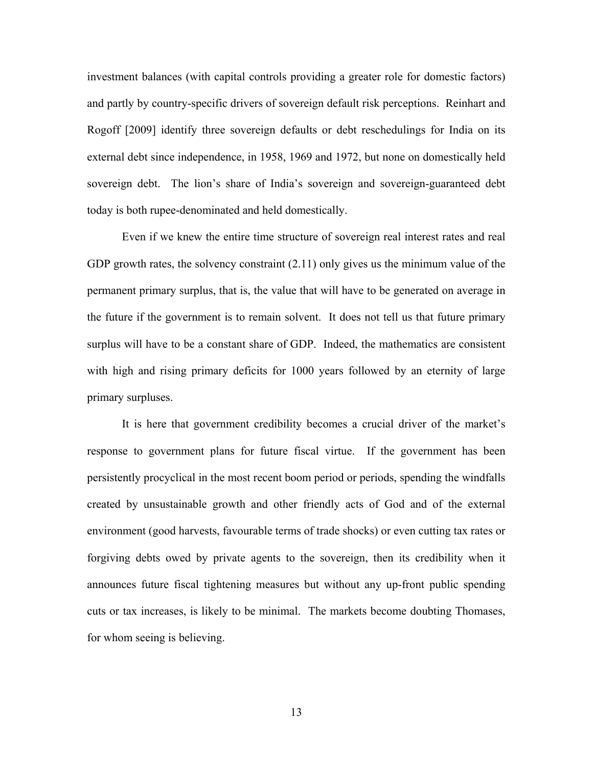investment balances (with capital controls providing a greater role for domestic factors) and partly by country-specific drivers of sovereign default risk perceptions. Reinhart and Rogoff [2009] identify three sovereign defaults or debt reschedulings for India on its external debt since independence, in 1958, 1969 and 1972, but none on domestically held sovereign debt. The lion's share of India's sovereign and sovereign-guaranteed debt today is both rupee-denominated and held domestically.

Even if we knew the entire time structure of sovereign real interest rates and real GDP growth rates, the solvency constraint  $(2.11)$  only gives us the minimum value of the permanent primary surplus, that is, the value that will have to be generated on average in the future if the government is to remain solvent. It does not tell us that future primary surplus will have to be a constant share of GDP. Indeed, the mathematics are consistent with high and rising primary deficits for 1000 years followed by an eternity of large primary surpluses.

It is here that government credibility becomes a crucial driver of the market's response to government plans for future fiscal virtue. If the government has been persistently procyclical in the most recent boom period or periods, spending the windfalls created by unsustainable growth and other friendly acts of God and of the external environment (good harvests, favourable terms of trade shocks) or even cutting tax rates or forgiving debts owed by private agents to the sovereign, then its credibility when it announces future fiscal tightening measures but without any up-front public spending cuts or tax increases, is likely to be minimal. The markets become doubting Thomases, for whom seeing is believing.

13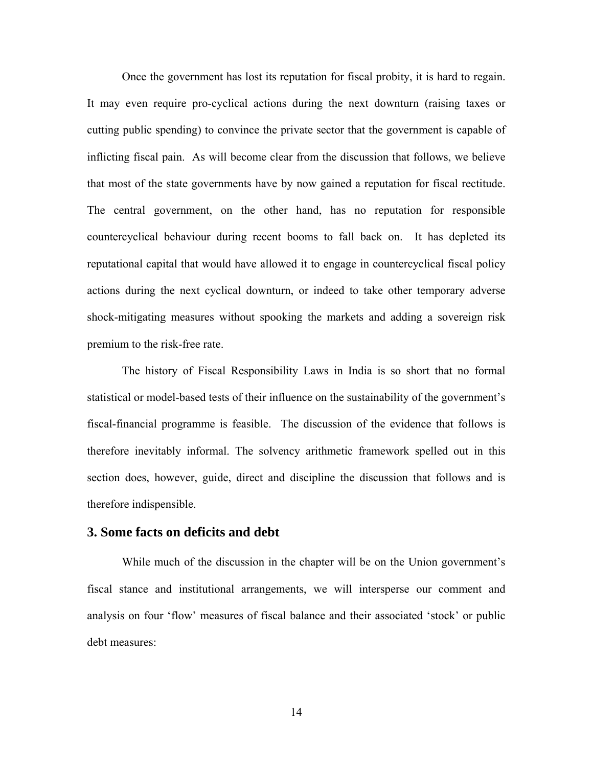Once the government has lost its reputation for fiscal probity, it is hard to regain. It may even require pro-cyclical actions during the next downturn (raising taxes or cutting public spending) to convince the private sector that the government is capable of inflicting fiscal pain. As will become clear from the discussion that follows, we believe that most of the state governments have by now gained a reputation for fiscal rectitude. The central government, on the other hand, has no reputation for responsible countercyclical behaviour during recent booms to fall back on. It has depleted its reputational capital that would have allowed it to engage in countercyclical fiscal policy actions during the next cyclical downturn, or indeed to take other temporary adverse shock-mitigating measures without spooking the markets and adding a sovereign risk premium to the risk-free rate.

The history of Fiscal Responsibility Laws in India is so short that no formal statistical or model-based tests of their influence on the sustainability of the government's fiscal-financial programme is feasible. The discussion of the evidence that follows is therefore inevitably informal. The solvency arithmetic framework spelled out in this section does, however, guide, direct and discipline the discussion that follows and is therefore indispensible.

## **3. Some facts on deficits and debt**

While much of the discussion in the chapter will be on the Union government's fiscal stance and institutional arrangements, we will intersperse our comment and analysis on four 'flow' measures of fiscal balance and their associated 'stock' or public debt measures: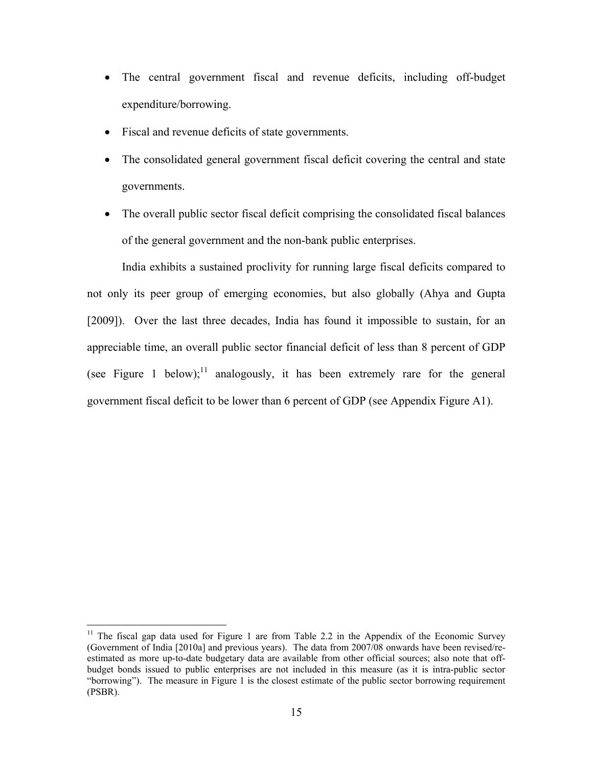- The central government fiscal and revenue deficits, including off-budget expenditure/borrowing.
- Fiscal and revenue deficits of state governments.
- The consolidated general government fiscal deficit covering the central and state governments.
- The overall public sector fiscal deficit comprising the consolidated fiscal balances of the general government and the non-bank public enterprises.

India exhibits a sustained proclivity for running large fiscal deficits compared to not only its peer group of emerging economies, but also globally (Ahya and Gupta [2009]). Over the last three decades, India has found it impossible to sustain, for an appreciable time, an overall public sector financial deficit of less than 8 percent of GDP (see Figure 1 below);<sup>11</sup> analogously, it has been extremely rare for the general government fiscal deficit to be lower than 6 percent of GDP (see Appendix Figure A1).

1

<sup>&</sup>lt;sup>11</sup> The fiscal gap data used for Figure 1 are from Table 2.2 in the Appendix of the Economic Survey (Government of India [2010a] and previous years). The data from 2007/08 onwards have been revised/reestimated as more up-to-date budgetary data are available from other official sources; also note that offbudget bonds issued to public enterprises are not included in this measure (as it is intra-public sector "borrowing"). The measure in Figure 1 is the closest estimate of the public sector borrowing requirement (PSBR).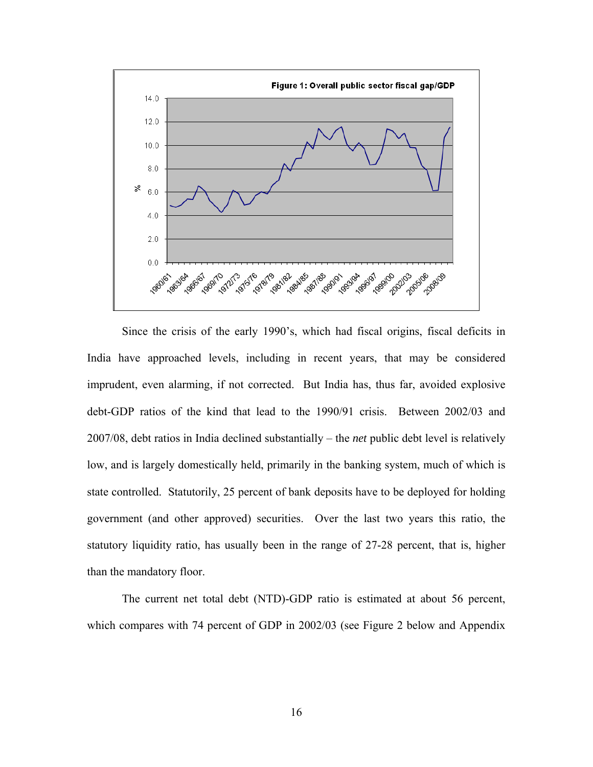

Since the crisis of the early 1990's, which had fiscal origins, fiscal deficits in India have approached levels, including in recent years, that may be considered imprudent, even alarming, if not corrected. But India has, thus far, avoided explosive debt-GDP ratios of the kind that lead to the 1990/91 crisis. Between 2002/03 and 2007/08, debt ratios in India declined substantially – the *net* public debt level is relatively low, and is largely domestically held, primarily in the banking system, much of which is state controlled. Statutorily, 25 percent of bank deposits have to be deployed for holding government (and other approved) securities. Over the last two years this ratio, the statutory liquidity ratio, has usually been in the range of 27-28 percent, that is, higher than the mandatory floor.

The current net total debt (NTD)-GDP ratio is estimated at about 56 percent, which compares with 74 percent of GDP in 2002/03 (see Figure 2 below and Appendix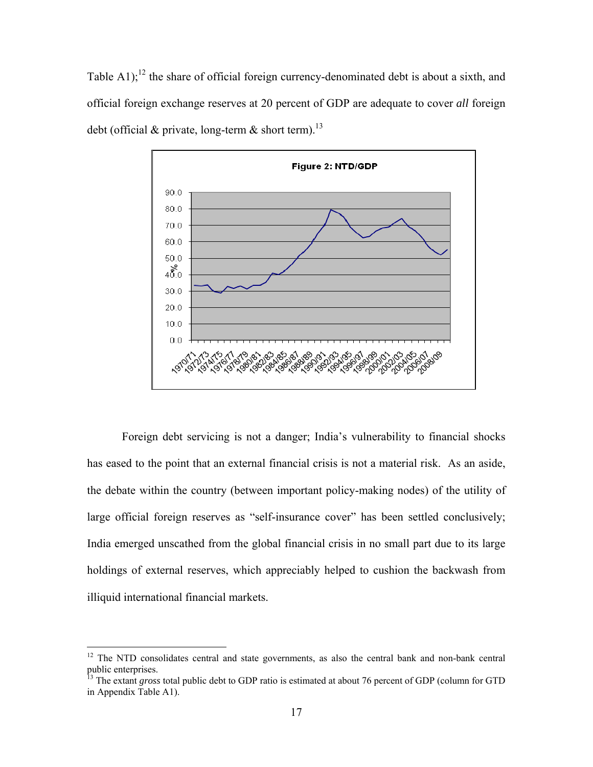Table A1);<sup>12</sup> the share of official foreign currency-denominated debt is about a sixth, and official foreign exchange reserves at 20 percent of GDP are adequate to cover *all* foreign debt (official & private, long-term & short term).<sup>13</sup>



Foreign debt servicing is not a danger; India's vulnerability to financial shocks has eased to the point that an external financial crisis is not a material risk. As an aside, the debate within the country (between important policy-making nodes) of the utility of large official foreign reserves as "self-insurance cover" has been settled conclusively; India emerged unscathed from the global financial crisis in no small part due to its large holdings of external reserves, which appreciably helped to cushion the backwash from illiquid international financial markets.

<u>.</u>

 $12$  The NTD consolidates central and state governments, as also the central bank and non-bank central public enterprises.

<sup>&</sup>lt;sup>13</sup> The extant *gross* total public debt to GDP ratio is estimated at about 76 percent of GDP (column for GTD in Appendix Table A1).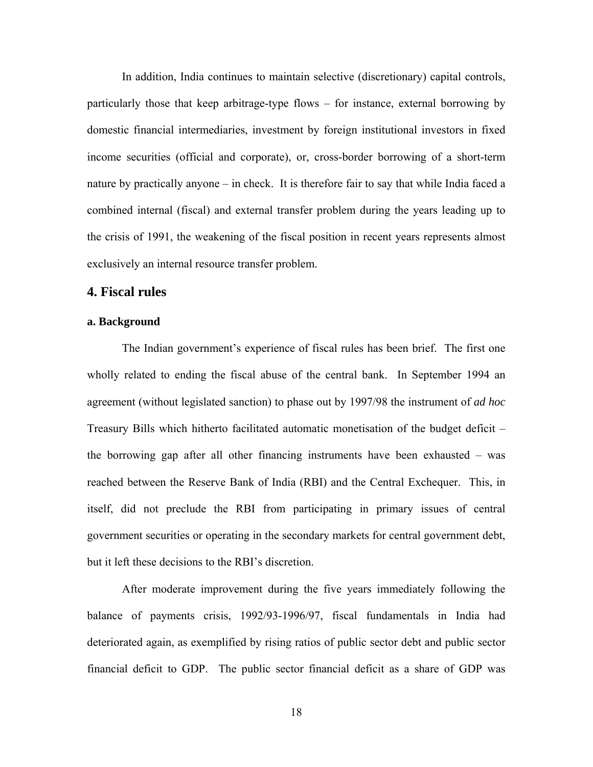In addition, India continues to maintain selective (discretionary) capital controls, particularly those that keep arbitrage-type flows – for instance, external borrowing by domestic financial intermediaries, investment by foreign institutional investors in fixed income securities (official and corporate), or, cross-border borrowing of a short-term nature by practically anyone – in check. It is therefore fair to say that while India faced a combined internal (fiscal) and external transfer problem during the years leading up to the crisis of 1991, the weakening of the fiscal position in recent years represents almost exclusively an internal resource transfer problem.

# **4. Fiscal rules**

### **a. Background**

The Indian government's experience of fiscal rules has been brief. The first one wholly related to ending the fiscal abuse of the central bank. In September 1994 an agreement (without legislated sanction) to phase out by 1997/98 the instrument of *ad hoc* Treasury Bills which hitherto facilitated automatic monetisation of the budget deficit – the borrowing gap after all other financing instruments have been exhausted – was reached between the Reserve Bank of India (RBI) and the Central Exchequer. This, in itself, did not preclude the RBI from participating in primary issues of central government securities or operating in the secondary markets for central government debt, but it left these decisions to the RBI's discretion.

After moderate improvement during the five years immediately following the balance of payments crisis, 1992/93-1996/97, fiscal fundamentals in India had deteriorated again, as exemplified by rising ratios of public sector debt and public sector financial deficit to GDP. The public sector financial deficit as a share of GDP was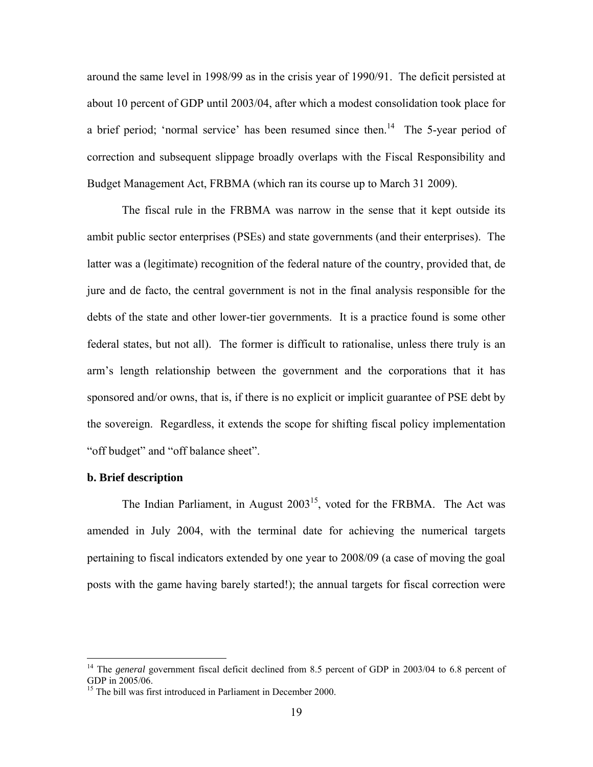around the same level in 1998/99 as in the crisis year of 1990/91. The deficit persisted at about 10 percent of GDP until 2003/04, after which a modest consolidation took place for a brief period; 'normal service' has been resumed since then.<sup>14</sup> The 5-year period of correction and subsequent slippage broadly overlaps with the Fiscal Responsibility and Budget Management Act, FRBMA (which ran its course up to March 31 2009).

The fiscal rule in the FRBMA was narrow in the sense that it kept outside its ambit public sector enterprises (PSEs) and state governments (and their enterprises). The latter was a (legitimate) recognition of the federal nature of the country, provided that, de jure and de facto, the central government is not in the final analysis responsible for the debts of the state and other lower-tier governments. It is a practice found is some other federal states, but not all). The former is difficult to rationalise, unless there truly is an arm's length relationship between the government and the corporations that it has sponsored and/or owns, that is, if there is no explicit or implicit guarantee of PSE debt by the sovereign. Regardless, it extends the scope for shifting fiscal policy implementation "off budget" and "off balance sheet".

#### **b. Brief description**

 $\overline{a}$ 

The Indian Parliament, in August  $2003^{15}$ , voted for the FRBMA. The Act was amended in July 2004, with the terminal date for achieving the numerical targets pertaining to fiscal indicators extended by one year to 2008/09 (a case of moving the goal posts with the game having barely started!); the annual targets for fiscal correction were

<sup>&</sup>lt;sup>14</sup> The *general* government fiscal deficit declined from 8.5 percent of GDP in 2003/04 to 6.8 percent of GDP in 2005/06.

<sup>&</sup>lt;sup>15</sup> The bill was first introduced in Parliament in December 2000.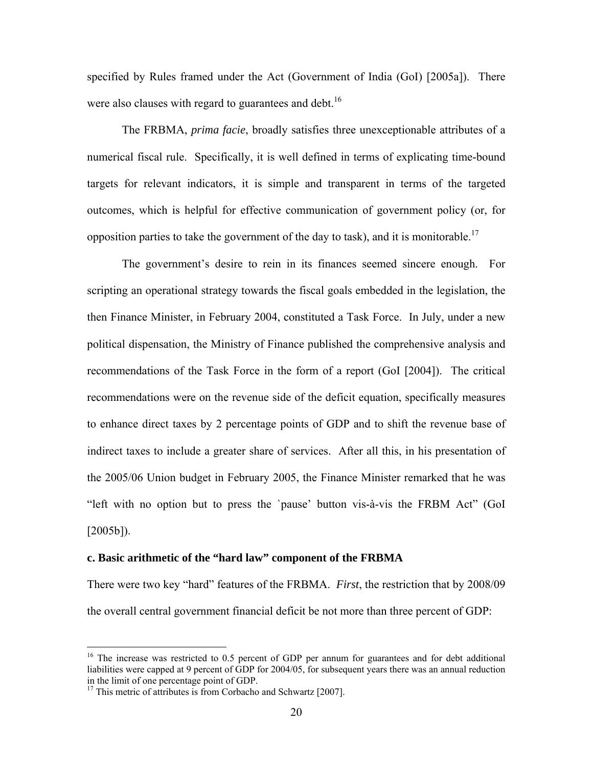specified by Rules framed under the Act (Government of India (GoI) [2005a]). There were also clauses with regard to guarantees and debt.<sup>16</sup>

The FRBMA, *prima facie*, broadly satisfies three unexceptionable attributes of a numerical fiscal rule. Specifically, it is well defined in terms of explicating time-bound targets for relevant indicators, it is simple and transparent in terms of the targeted outcomes, which is helpful for effective communication of government policy (or, for opposition parties to take the government of the day to task), and it is monitorable.<sup>17</sup>

The government's desire to rein in its finances seemed sincere enough. For scripting an operational strategy towards the fiscal goals embedded in the legislation, the then Finance Minister, in February 2004, constituted a Task Force. In July, under a new political dispensation, the Ministry of Finance published the comprehensive analysis and recommendations of the Task Force in the form of a report (GoI [2004]). The critical recommendations were on the revenue side of the deficit equation, specifically measures to enhance direct taxes by 2 percentage points of GDP and to shift the revenue base of indirect taxes to include a greater share of services. After all this, in his presentation of the 2005/06 Union budget in February 2005, the Finance Minister remarked that he was "left with no option but to press the `pause' button vis-à-vis the FRBM Act" (GoI  $[2005b]$ ).

#### **c. Basic arithmetic of the "hard law" component of the FRBMA**

There were two key "hard" features of the FRBMA. *First*, the restriction that by 2008/09 the overall central government financial deficit be not more than three percent of GDP:

<u>.</u>

<sup>&</sup>lt;sup>16</sup> The increase was restricted to 0.5 percent of GDP per annum for guarantees and for debt additional liabilities were capped at 9 percent of GDP for 2004/05, for subsequent years there was an annual reduction in the limit of one percentage point of GDP.

 $17$  This metric of attributes is from Corbacho and Schwartz [2007].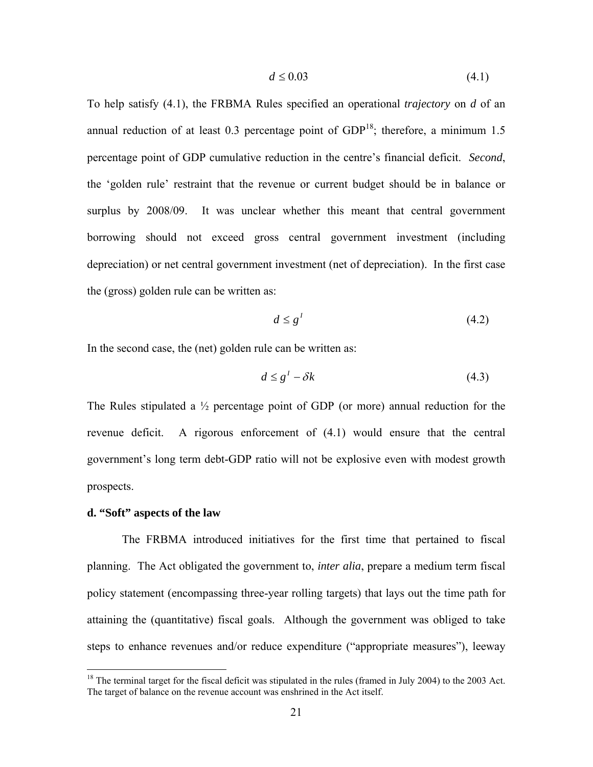$$
d \le 0.03\tag{4.1}
$$

To help satisfy (4.1), the FRBMA Rules specified an operational *trajectory* on *d* of an annual reduction of at least 0.3 percentage point of  $GDP<sup>18</sup>$ ; therefore, a minimum 1.5 percentage point of GDP cumulative reduction in the centre's financial deficit. *Second*, the 'golden rule' restraint that the revenue or current budget should be in balance or surplus by 2008/09. It was unclear whether this meant that central government borrowing should not exceed gross central government investment (including depreciation) or net central government investment (net of depreciation). In the first case the (gross) golden rule can be written as:

$$
d \le g^1 \tag{4.2}
$$

In the second case, the (net) golden rule can be written as:

$$
d \le g^1 - \delta k \tag{4.3}
$$

The Rules stipulated a  $\frac{1}{2}$  percentage point of GDP (or more) annual reduction for the revenue deficit. A rigorous enforcement of (4.1) would ensure that the central government's long term debt-GDP ratio will not be explosive even with modest growth prospects.

### **d. "Soft" aspects of the law**

 $\overline{a}$ 

The FRBMA introduced initiatives for the first time that pertained to fiscal planning. The Act obligated the government to, *inter alia*, prepare a medium term fiscal policy statement (encompassing three-year rolling targets) that lays out the time path for attaining the (quantitative) fiscal goals. Although the government was obliged to take steps to enhance revenues and/or reduce expenditure ("appropriate measures"), leeway

 $18$  The terminal target for the fiscal deficit was stipulated in the rules (framed in July 2004) to the 2003 Act. The target of balance on the revenue account was enshrined in the Act itself.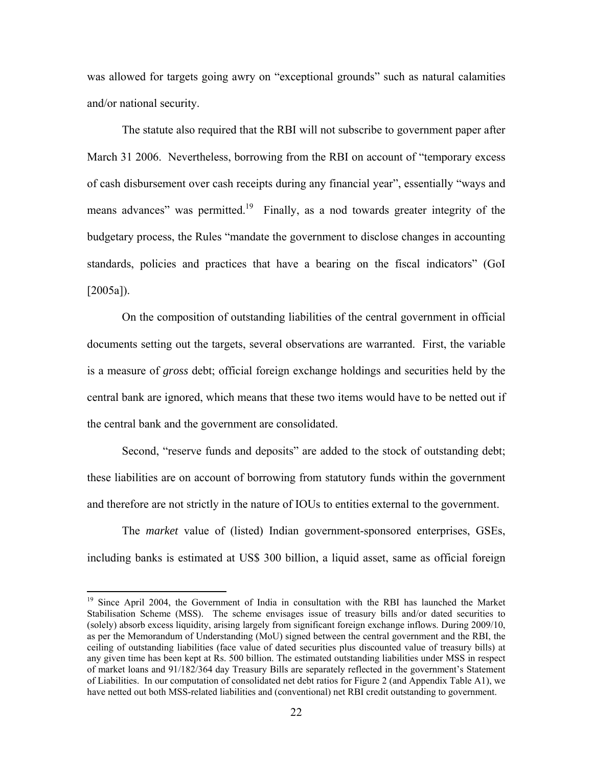was allowed for targets going awry on "exceptional grounds" such as natural calamities and/or national security.

The statute also required that the RBI will not subscribe to government paper after March 31 2006. Nevertheless, borrowing from the RBI on account of "temporary excess of cash disbursement over cash receipts during any financial year", essentially "ways and means advances" was permitted.<sup>19</sup> Finally, as a nod towards greater integrity of the budgetary process, the Rules "mandate the government to disclose changes in accounting standards, policies and practices that have a bearing on the fiscal indicators" (GoI [2005a]).

On the composition of outstanding liabilities of the central government in official documents setting out the targets, several observations are warranted. First, the variable is a measure of *gross* debt; official foreign exchange holdings and securities held by the central bank are ignored, which means that these two items would have to be netted out if the central bank and the government are consolidated.

Second, "reserve funds and deposits" are added to the stock of outstanding debt; these liabilities are on account of borrowing from statutory funds within the government and therefore are not strictly in the nature of IOUs to entities external to the government.

The *market* value of (listed) Indian government-sponsored enterprises, GSEs, including banks is estimated at US\$ 300 billion, a liquid asset, same as official foreign

 $\overline{a}$ 

<sup>&</sup>lt;sup>19</sup> Since April 2004, the Government of India in consultation with the RBI has launched the Market Stabilisation Scheme (MSS). The scheme envisages issue of treasury bills and/or dated securities to (solely) absorb excess liquidity, arising largely from significant foreign exchange inflows. During 2009/10, as per the Memorandum of Understanding (MoU) signed between the central government and the RBI, the ceiling of outstanding liabilities (face value of dated securities plus discounted value of treasury bills) at any given time has been kept at Rs. 500 billion. The estimated outstanding liabilities under MSS in respect of market loans and 91/182/364 day Treasury Bills are separately reflected in the government's Statement of Liabilities. In our computation of consolidated net debt ratios for Figure 2 (and Appendix Table A1), we have netted out both MSS-related liabilities and (conventional) net RBI credit outstanding to government.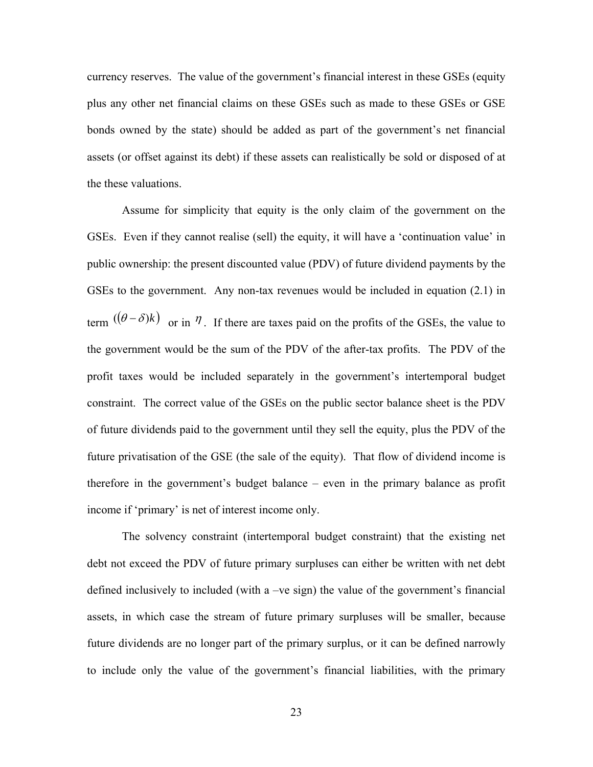currency reserves. The value of the government's financial interest in these GSEs (equity plus any other net financial claims on these GSEs such as made to these GSEs or GSE bonds owned by the state) should be added as part of the government's net financial assets (or offset against its debt) if these assets can realistically be sold or disposed of at the these valuations.

Assume for simplicity that equity is the only claim of the government on the GSEs. Even if they cannot realise (sell) the equity, it will have a 'continuation value' in public ownership: the present discounted value (PDV) of future dividend payments by the GSEs to the government. Any non-tax revenues would be included in equation (2.1) in term  $((\theta - \delta)k)$  or in  $\eta$ . If there are taxes paid on the profits of the GSEs, the value to the government would be the sum of the PDV of the after-tax profits. The PDV of the profit taxes would be included separately in the government's intertemporal budget constraint. The correct value of the GSEs on the public sector balance sheet is the PDV of future dividends paid to the government until they sell the equity, plus the PDV of the future privatisation of the GSE (the sale of the equity). That flow of dividend income is therefore in the government's budget balance – even in the primary balance as profit income if 'primary' is net of interest income only.

The solvency constraint (intertemporal budget constraint) that the existing net debt not exceed the PDV of future primary surpluses can either be written with net debt defined inclusively to included (with a –ve sign) the value of the government's financial assets, in which case the stream of future primary surpluses will be smaller, because future dividends are no longer part of the primary surplus, or it can be defined narrowly to include only the value of the government's financial liabilities, with the primary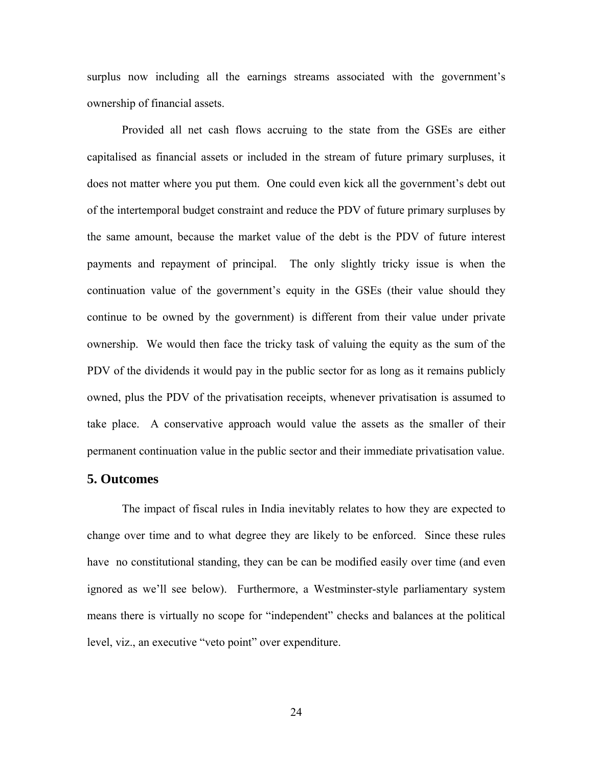surplus now including all the earnings streams associated with the government's ownership of financial assets.

Provided all net cash flows accruing to the state from the GSEs are either capitalised as financial assets or included in the stream of future primary surpluses, it does not matter where you put them. One could even kick all the government's debt out of the intertemporal budget constraint and reduce the PDV of future primary surpluses by the same amount, because the market value of the debt is the PDV of future interest payments and repayment of principal. The only slightly tricky issue is when the continuation value of the government's equity in the GSEs (their value should they continue to be owned by the government) is different from their value under private ownership. We would then face the tricky task of valuing the equity as the sum of the PDV of the dividends it would pay in the public sector for as long as it remains publicly owned, plus the PDV of the privatisation receipts, whenever privatisation is assumed to take place. A conservative approach would value the assets as the smaller of their permanent continuation value in the public sector and their immediate privatisation value.

# **5. Outcomes**

The impact of fiscal rules in India inevitably relates to how they are expected to change over time and to what degree they are likely to be enforced. Since these rules have no constitutional standing, they can be can be modified easily over time (and even ignored as we'll see below). Furthermore, a Westminster-style parliamentary system means there is virtually no scope for "independent" checks and balances at the political level, viz., an executive "veto point" over expenditure.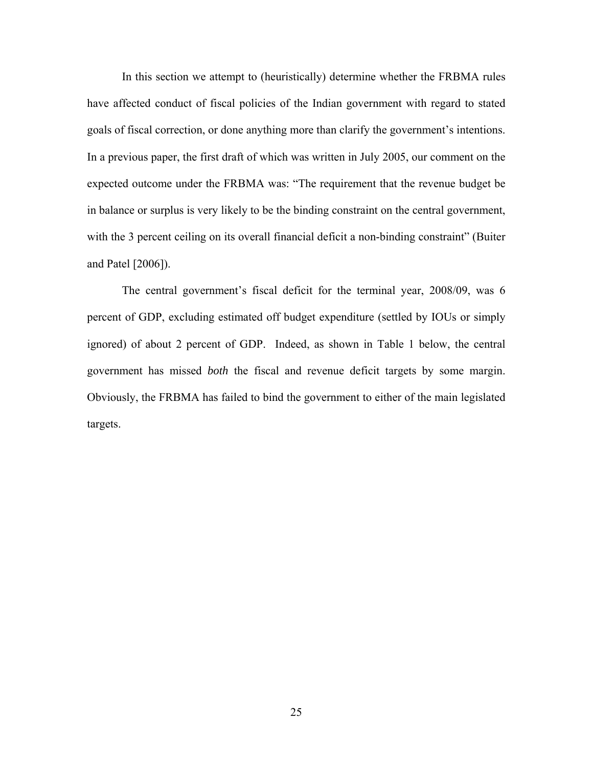In this section we attempt to (heuristically) determine whether the FRBMA rules have affected conduct of fiscal policies of the Indian government with regard to stated goals of fiscal correction, or done anything more than clarify the government's intentions. In a previous paper, the first draft of which was written in July 2005, our comment on the expected outcome under the FRBMA was: "The requirement that the revenue budget be in balance or surplus is very likely to be the binding constraint on the central government, with the 3 percent ceiling on its overall financial deficit a non-binding constraint" (Buiter and Patel [2006]).

The central government's fiscal deficit for the terminal year, 2008/09, was 6 percent of GDP, excluding estimated off budget expenditure (settled by IOUs or simply ignored) of about 2 percent of GDP. Indeed, as shown in Table 1 below, the central government has missed *both* the fiscal and revenue deficit targets by some margin. Obviously, the FRBMA has failed to bind the government to either of the main legislated targets.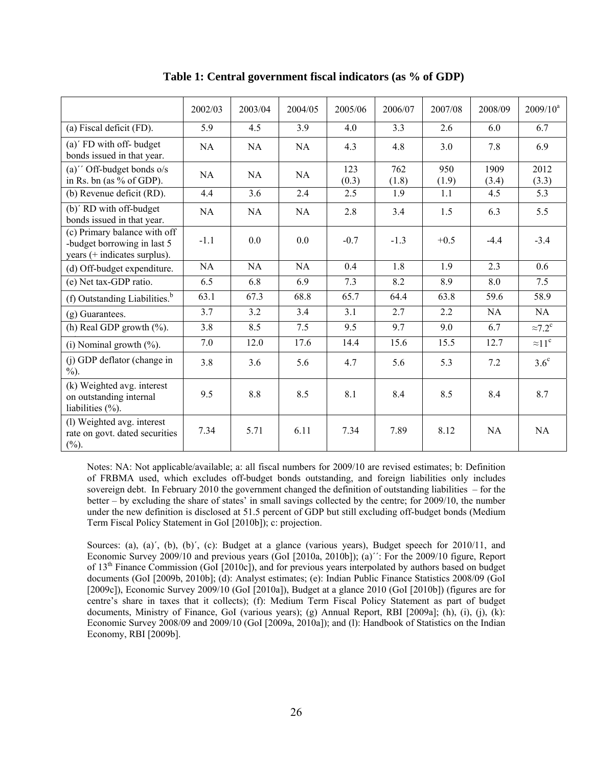|                                                                                             | 2002/03   | 2003/04   | 2004/05   | 2005/06      | 2006/07      | 2007/08      | 2008/09       | $2009/10^a$     |
|---------------------------------------------------------------------------------------------|-----------|-----------|-----------|--------------|--------------|--------------|---------------|-----------------|
| (a) Fiscal deficit $(\overline{FD})$ .                                                      | 5.9       | 4.5       | 3.9       | 4.0          | 3.3          | 2.6          | 6.0           | 6.7             |
| (a)' FD with off- budget<br>bonds issued in that year.                                      | <b>NA</b> | <b>NA</b> | <b>NA</b> | 4.3          | 4.8          | 3.0          | 7.8           | 6.9             |
| $(a)$ " Off-budget bonds o/s<br>in Rs. bn (as $%$ of GDP).                                  | <b>NA</b> | <b>NA</b> | <b>NA</b> | 123<br>(0.3) | 762<br>(1.8) | 950<br>(1.9) | 1909<br>(3.4) | 2012<br>(3.3)   |
| (b) Revenue deficit (RD).                                                                   | 4.4       | 3.6       | 2.4       | 2.5          | 1.9          | 1.1          | 4.5           | 5.3             |
| (b)' RD with off-budget<br>bonds issued in that year.                                       | <b>NA</b> | <b>NA</b> | NA        | 2.8          | 3.4          | 1.5          | 6.3           | 5.5             |
| (c) Primary balance with off<br>-budget borrowing in last 5<br>years (+ indicates surplus). | $-1.1$    | 0.0       | 0.0       | $-0.7$       | $-1.3$       | $+0.5$       | $-4.4$        | $-3.4$          |
| (d) Off-budget expenditure.                                                                 | NA        | NA        | NA        | 0.4          | 1.8          | 1.9          | 2.3           | 0.6             |
| (e) Net tax-GDP ratio.                                                                      | 6.5       | 6.8       | 6.9       | 7.3          | 8.2          | 8.9          | 8.0           | 7.5             |
| (f) Outstanding Liabilities. <sup>b</sup>                                                   | 63.1      | 67.3      | 68.8      | 65.7         | 64.4         | 63.8         | 59.6          | 58.9            |
| (g) Guarantees.                                                                             | 3.7       | 3.2       | 3.4       | 3.1          | 2.7          | 2.2          | NA            | NA              |
| $\overline{(\text{h})}$ Real GDP growth $\left(\frac{9}{6}\right)$ .                        | 3.8       | 8.5       | 7.5       | 9.5          | 9.7          | 9.0          | 6.7           | $\approx 7.2^c$ |
| (i) Nominal growth $(\%).$                                                                  | 7.0       | 12.0      | 17.6      | 14.4         | 15.6         | 15.5         | 12.7          | $\approx 11^c$  |
| (j) GDP deflator (change in<br>$\%$ ).                                                      | 3.8       | 3.6       | 5.6       | 4.7          | 5.6          | 5.3          | 7.2           | $3.6^\circ$     |
| (k) Weighted avg. interest<br>on outstanding internal<br>liabilities $(\% )$ .              | 9.5       | 8.8       | 8.5       | 8.1          | 8.4          | 8.5          | 8.4           | 8.7             |
| (l) Weighted avg. interest<br>rate on govt. dated securities<br>$(\%)$ .                    | 7.34      | 5.71      | 6.11      | 7.34         | 7.89         | 8.12         | NA            | <b>NA</b>       |

**Table 1: Central government fiscal indicators (as % of GDP)** 

Notes: NA: Not applicable/available; a: all fiscal numbers for 2009/10 are revised estimates; b: Definition of FRBMA used, which excludes off-budget bonds outstanding, and foreign liabilities only includes sovereign debt. In February 2010 the government changed the definition of outstanding liabilities – for the better – by excluding the share of states' in small savings collected by the centre; for 2009/10, the number under the new definition is disclosed at 51.5 percent of GDP but still excluding off-budget bonds (Medium Term Fiscal Policy Statement in GoI [2010b]); c: projection.

Sources: (a), (a)', (b), (b)', (c): Budget at a glance (various years), Budget speech for 2010/11, and Economic Survey 2009/10 and previous years (GoI [2010a, 2010b]); (a)´´: For the 2009/10 figure, Report of 13th Finance Commission (GoI [2010c]), and for previous years interpolated by authors based on budget documents (GoI [2009b, 2010b]; (d): Analyst estimates; (e): Indian Public Finance Statistics 2008/09 (GoI [2009c]), Economic Survey 2009/10 (GoI [2010a]), Budget at a glance 2010 (GoI [2010b]) (figures are for centre's share in taxes that it collects); (f): Medium Term Fiscal Policy Statement as part of budget documents, Ministry of Finance, GoI (various years); (g) Annual Report, RBI [2009a]; (h), (i), (j), (k): Economic Survey 2008/09 and 2009/10 (GoI [2009a, 2010a]); and (l): Handbook of Statistics on the Indian Economy, RBI [2009b].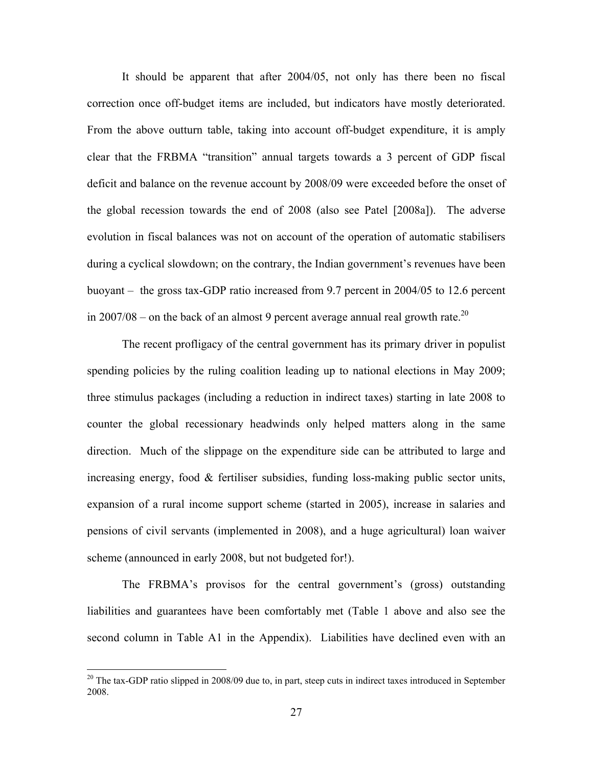It should be apparent that after 2004/05, not only has there been no fiscal correction once off-budget items are included, but indicators have mostly deteriorated. From the above outturn table, taking into account off-budget expenditure, it is amply clear that the FRBMA "transition" annual targets towards a 3 percent of GDP fiscal deficit and balance on the revenue account by 2008/09 were exceeded before the onset of the global recession towards the end of 2008 (also see Patel [2008a]). The adverse evolution in fiscal balances was not on account of the operation of automatic stabilisers during a cyclical slowdown; on the contrary, the Indian government's revenues have been buoyant – the gross tax-GDP ratio increased from 9.7 percent in 2004/05 to 12.6 percent in 2007/08 – on the back of an almost 9 percent average annual real growth rate.<sup>20</sup>

The recent profligacy of the central government has its primary driver in populist spending policies by the ruling coalition leading up to national elections in May 2009; three stimulus packages (including a reduction in indirect taxes) starting in late 2008 to counter the global recessionary headwinds only helped matters along in the same direction. Much of the slippage on the expenditure side can be attributed to large and increasing energy, food  $\&$  fertiliser subsidies, funding loss-making public sector units, expansion of a rural income support scheme (started in 2005), increase in salaries and pensions of civil servants (implemented in 2008), and a huge agricultural) loan waiver scheme (announced in early 2008, but not budgeted for!).

The FRBMA's provisos for the central government's (gross) outstanding liabilities and guarantees have been comfortably met (Table 1 above and also see the second column in Table A1 in the Appendix). Liabilities have declined even with an

 $\overline{a}$ 

 $20$  The tax-GDP ratio slipped in 2008/09 due to, in part, steep cuts in indirect taxes introduced in September 2008.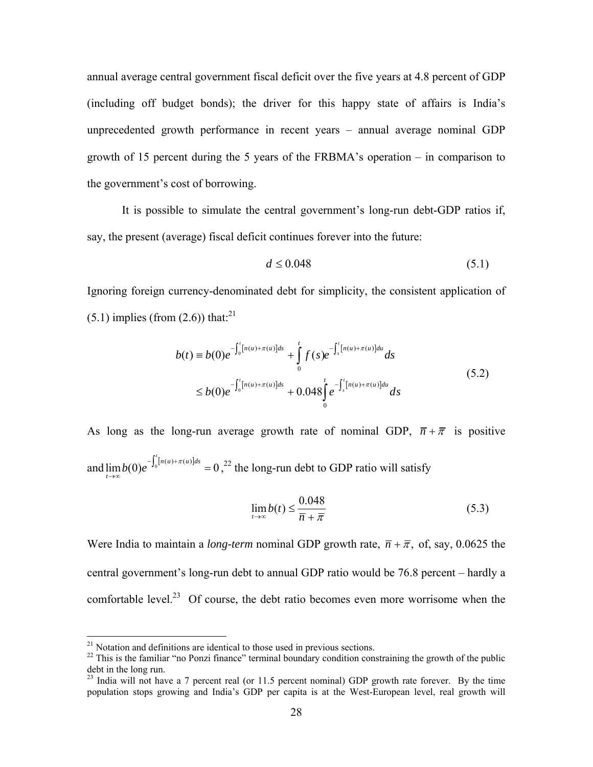annual average central government fiscal deficit over the five years at 4.8 percent of GDP (including off budget bonds); the driver for this happy state of affairs is India's unprecedented growth performance in recent years – annual average nominal GDP growth of 15 percent during the 5 years of the FRBMA's operation – in comparison to the government's cost of borrowing.

It is possible to simulate the central government's long-run debt-GDP ratios if, say, the present (average) fiscal deficit continues forever into the future:

$$
d \le 0.048\tag{5.1}
$$

Ignoring foreign currency-denominated debt for simplicity, the consistent application of  $(5.1)$  implies (from  $(2.6)$ ) that:<sup>21</sup>

$$
b(t) = b(0)e^{-\int_0^t [n(u) + \pi(u)]ds} + \int_0^t f(s)e^{-\int_s^t [n(u) + \pi(u)]du} ds
$$
  
\n
$$
\leq b(0)e^{-\int_0^t [n(u) + \pi(u)]ds} + 0.048\int_0^t e^{-\int_s^t [n(u) + \pi(u)]du} ds
$$
\n(5.2)

As long as the long-run average growth rate of nominal GDP,  $\overline{n} + \overline{\pi}$  is positive and  $\lim b(0)e^{-\int_0^1 [n(u)+\pi(u)]ds} = 0$  $b(0)e^{-\int_0^t [n(u)+\pi(u)]ds} = 0$ ,<sup>22</sup> the long-run debt to GDP ratio will satisfy *t* →∞

$$
\lim_{t \to \infty} b(t) \le \frac{0.048}{\overline{n} + \overline{\pi}}
$$
\n(5.3)

Were India to maintain a *long-term* nominal GDP growth rate,  $\overline{n} + \overline{n}$ , of, say, 0.0625 the central government's long-run debt to annual GDP ratio would be 76.8 percent – hardly a comfortable level.<sup>23</sup> Of course, the debt ratio becomes even more worrisome when the

1

 $21$  Notation and definitions are identical to those used in previous sections.

<sup>&</sup>lt;sup>22</sup> This is the familiar "no Ponzi finance" terminal boundary condition constraining the growth of the public debt in the long run.

 $^{23}$  India will not have a 7 percent real (or 11.5 percent nominal) GDP growth rate forever. By the time population stops growing and India's GDP per capita is at the West-European level, real growth will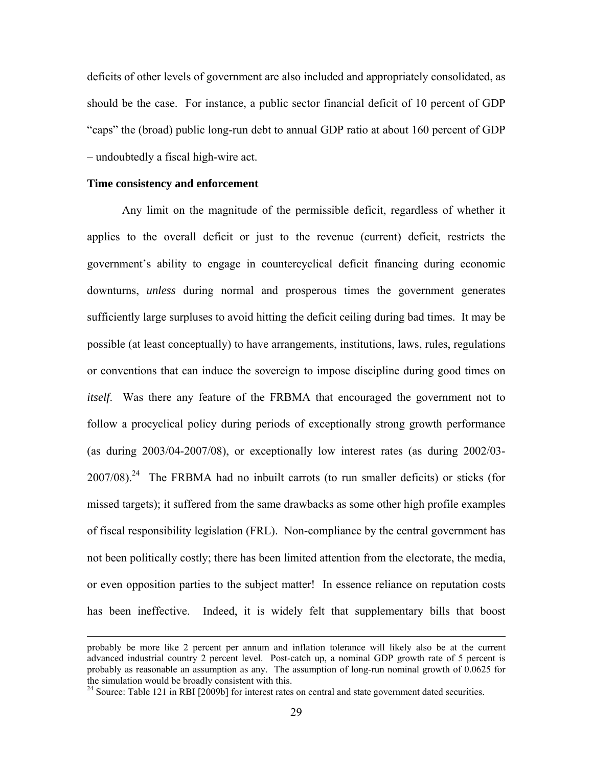deficits of other levels of government are also included and appropriately consolidated, as should be the case. For instance, a public sector financial deficit of 10 percent of GDP "caps" the (broad) public long-run debt to annual GDP ratio at about 160 percent of GDP – undoubtedly a fiscal high-wire act.

#### **Time consistency and enforcement**

 $\overline{a}$ 

Any limit on the magnitude of the permissible deficit, regardless of whether it applies to the overall deficit or just to the revenue (current) deficit, restricts the government's ability to engage in countercyclical deficit financing during economic downturns, *unless* during normal and prosperous times the government generates sufficiently large surpluses to avoid hitting the deficit ceiling during bad times. It may be possible (at least conceptually) to have arrangements, institutions, laws, rules, regulations or conventions that can induce the sovereign to impose discipline during good times on *itself*. Was there any feature of the FRBMA that encouraged the government not to follow a procyclical policy during periods of exceptionally strong growth performance (as during 2003/04-2007/08), or exceptionally low interest rates (as during 2002/03-  $2007/08$ ).<sup>24</sup> The FRBMA had no inbuilt carrots (to run smaller deficits) or sticks (for missed targets); it suffered from the same drawbacks as some other high profile examples of fiscal responsibility legislation (FRL). Non-compliance by the central government has not been politically costly; there has been limited attention from the electorate, the media, or even opposition parties to the subject matter! In essence reliance on reputation costs has been ineffective. Indeed, it is widely felt that supplementary bills that boost

probably be more like 2 percent per annum and inflation tolerance will likely also be at the current advanced industrial country 2 percent level. Post-catch up, a nominal GDP growth rate of 5 percent is probably as reasonable an assumption as any. The assumption of long-run nominal growth of 0.0625 for the simulation would be broadly consistent with this.

<sup>&</sup>lt;sup>24</sup> Source: Table 121 in RBI [2009b] for interest rates on central and state government dated securities.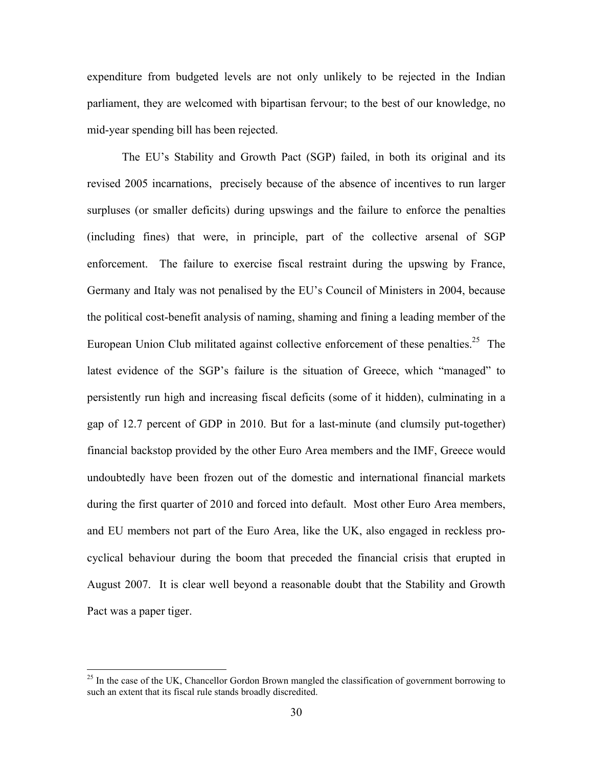expenditure from budgeted levels are not only unlikely to be rejected in the Indian parliament, they are welcomed with bipartisan fervour; to the best of our knowledge, no mid-year spending bill has been rejected.

The EU's Stability and Growth Pact (SGP) failed, in both its original and its revised 2005 incarnations, precisely because of the absence of incentives to run larger surpluses (or smaller deficits) during upswings and the failure to enforce the penalties (including fines) that were, in principle, part of the collective arsenal of SGP enforcement. The failure to exercise fiscal restraint during the upswing by France, Germany and Italy was not penalised by the EU's Council of Ministers in 2004, because the political cost-benefit analysis of naming, shaming and fining a leading member of the European Union Club militated against collective enforcement of these penalties.<sup>25</sup> The latest evidence of the SGP's failure is the situation of Greece, which "managed" to persistently run high and increasing fiscal deficits (some of it hidden), culminating in a gap of 12.7 percent of GDP in 2010. But for a last-minute (and clumsily put-together) financial backstop provided by the other Euro Area members and the IMF, Greece would undoubtedly have been frozen out of the domestic and international financial markets during the first quarter of 2010 and forced into default. Most other Euro Area members, and EU members not part of the Euro Area, like the UK, also engaged in reckless procyclical behaviour during the boom that preceded the financial crisis that erupted in August 2007. It is clear well beyond a reasonable doubt that the Stability and Growth Pact was a paper tiger.

 $\overline{a}$ 

 $^{25}$  In the case of the UK, Chancellor Gordon Brown mangled the classification of government borrowing to such an extent that its fiscal rule stands broadly discredited.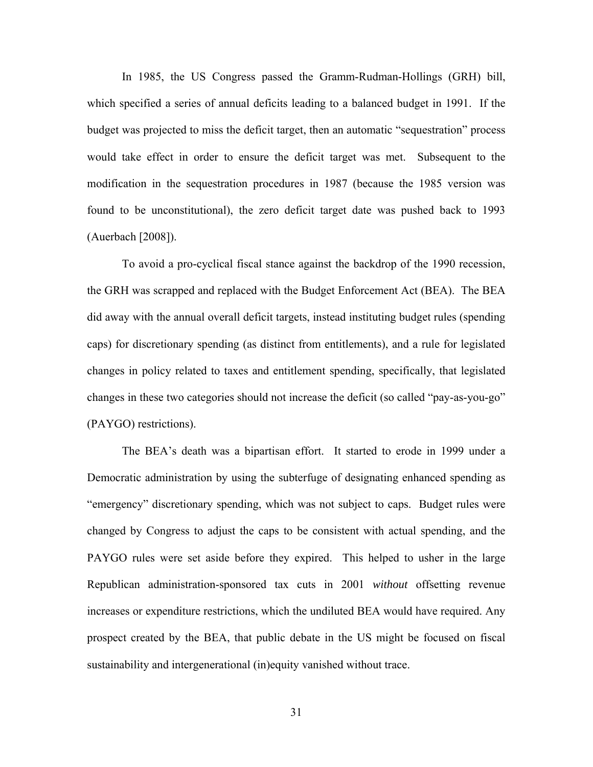In 1985, the US Congress passed the Gramm-Rudman-Hollings (GRH) bill, which specified a series of annual deficits leading to a balanced budget in 1991. If the budget was projected to miss the deficit target, then an automatic "sequestration" process would take effect in order to ensure the deficit target was met. Subsequent to the modification in the sequestration procedures in 1987 (because the 1985 version was found to be unconstitutional), the zero deficit target date was pushed back to 1993 (Auerbach [2008]).

To avoid a pro-cyclical fiscal stance against the backdrop of the 1990 recession, the GRH was scrapped and replaced with the Budget Enforcement Act (BEA). The BEA did away with the annual overall deficit targets, instead instituting budget rules (spending caps) for discretionary spending (as distinct from entitlements), and a rule for legislated changes in policy related to taxes and entitlement spending, specifically, that legislated changes in these two categories should not increase the deficit (so called "pay-as-you-go" (PAYGO) restrictions).

The BEA's death was a bipartisan effort. It started to erode in 1999 under a Democratic administration by using the subterfuge of designating enhanced spending as "emergency" discretionary spending, which was not subject to caps. Budget rules were changed by Congress to adjust the caps to be consistent with actual spending, and the PAYGO rules were set aside before they expired. This helped to usher in the large Republican administration-sponsored tax cuts in 2001 *without* offsetting revenue increases or expenditure restrictions, which the undiluted BEA would have required. Any prospect created by the BEA, that public debate in the US might be focused on fiscal sustainability and intergenerational (in)equity vanished without trace.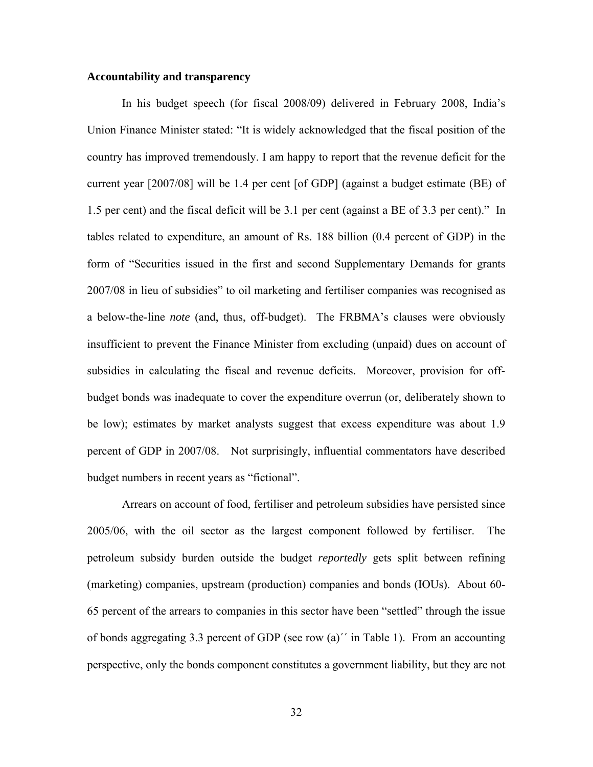### **Accountability and transparency**

In his budget speech (for fiscal 2008/09) delivered in February 2008, India's Union Finance Minister stated: "It is widely acknowledged that the fiscal position of the country has improved tremendously. I am happy to report that the revenue deficit for the current year [2007/08] will be 1.4 per cent [of GDP] (against a budget estimate (BE) of 1.5 per cent) and the fiscal deficit will be 3.1 per cent (against a BE of 3.3 per cent)." In tables related to expenditure, an amount of Rs. 188 billion (0.4 percent of GDP) in the form of "Securities issued in the first and second Supplementary Demands for grants 2007/08 in lieu of subsidies" to oil marketing and fertiliser companies was recognised as a below-the-line *note* (and, thus, off-budget). The FRBMA's clauses were obviously insufficient to prevent the Finance Minister from excluding (unpaid) dues on account of subsidies in calculating the fiscal and revenue deficits. Moreover, provision for offbudget bonds was inadequate to cover the expenditure overrun (or, deliberately shown to be low); estimates by market analysts suggest that excess expenditure was about 1.9 percent of GDP in 2007/08. Not surprisingly, influential commentators have described budget numbers in recent years as "fictional".

Arrears on account of food, fertiliser and petroleum subsidies have persisted since 2005/06, with the oil sector as the largest component followed by fertiliser. The petroleum subsidy burden outside the budget *reportedly* gets split between refining (marketing) companies, upstream (production) companies and bonds (IOUs). About 60- 65 percent of the arrears to companies in this sector have been "settled" through the issue of bonds aggregating 3.3 percent of GDP (see row (a)´´ in Table 1). From an accounting perspective, only the bonds component constitutes a government liability, but they are not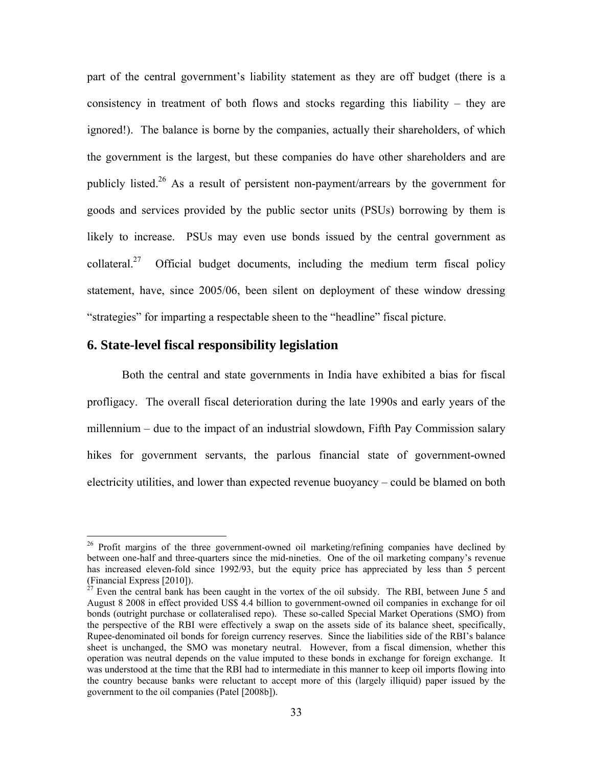part of the central government's liability statement as they are off budget (there is a consistency in treatment of both flows and stocks regarding this liability – they are ignored!). The balance is borne by the companies, actually their shareholders, of which the government is the largest, but these companies do have other shareholders and are publicly listed.<sup>26</sup> As a result of persistent non-payment/arrears by the government for goods and services provided by the public sector units (PSUs) borrowing by them is likely to increase. PSUs may even use bonds issued by the central government as collateral.<sup>27</sup> Official budget documents, including the medium term fiscal policy statement, have, since 2005/06, been silent on deployment of these window dressing "strategies" for imparting a respectable sheen to the "headline" fiscal picture.

## **6. State-level fiscal responsibility legislation**

 $\overline{a}$ 

Both the central and state governments in India have exhibited a bias for fiscal profligacy. The overall fiscal deterioration during the late 1990s and early years of the millennium – due to the impact of an industrial slowdown, Fifth Pay Commission salary hikes for government servants, the parlous financial state of government-owned electricity utilities, and lower than expected revenue buoyancy – could be blamed on both

<sup>&</sup>lt;sup>26</sup> Profit margins of the three government-owned oil marketing/refining companies have declined by between one-half and three-quarters since the mid-nineties. One of the oil marketing company's revenue has increased eleven-fold since 1992/93, but the equity price has appreciated by less than 5 percent (Financial Express [2010]).

<sup>&</sup>lt;sup>27</sup> Even the central bank has been caught in the vortex of the oil subsidy. The RBI, between June 5 and August 8 2008 in effect provided US\$ 4.4 billion to government-owned oil companies in exchange for oil bonds (outright purchase or collateralised repo). These so-called Special Market Operations (SMO) from the perspective of the RBI were effectively a swap on the assets side of its balance sheet, specifically, Rupee-denominated oil bonds for foreign currency reserves. Since the liabilities side of the RBI's balance sheet is unchanged, the SMO was monetary neutral. However, from a fiscal dimension, whether this operation was neutral depends on the value imputed to these bonds in exchange for foreign exchange. It was understood at the time that the RBI had to intermediate in this manner to keep oil imports flowing into the country because banks were reluctant to accept more of this (largely illiquid) paper issued by the government to the oil companies (Patel [2008b]).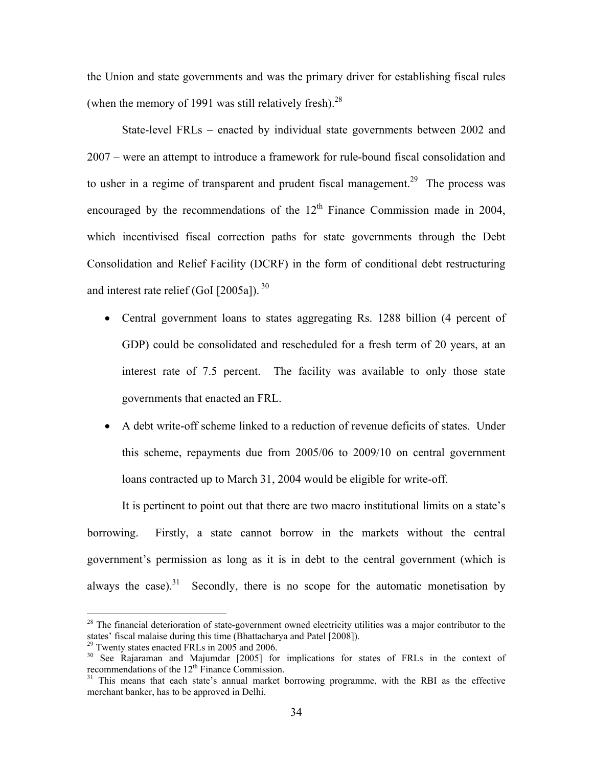the Union and state governments and was the primary driver for establishing fiscal rules (when the memory of 1991 was still relatively fresh). $^{28}$ 

State-level FRLs – enacted by individual state governments between 2002 and 2007 – were an attempt to introduce a framework for rule-bound fiscal consolidation and to usher in a regime of transparent and prudent fiscal management.<sup>29</sup> The process was encouraged by the recommendations of the  $12<sup>th</sup>$  Finance Commission made in 2004, which incentivised fiscal correction paths for state governments through the Debt Consolidation and Relief Facility (DCRF) in the form of conditional debt restructuring and interest rate relief (GoI  $[2005a]$ ). <sup>30</sup>

- Central government loans to states aggregating Rs. 1288 billion (4 percent of GDP) could be consolidated and rescheduled for a fresh term of 20 years, at an interest rate of 7.5 percent. The facility was available to only those state governments that enacted an FRL.
- A debt write-off scheme linked to a reduction of revenue deficits of states. Under this scheme, repayments due from 2005/06 to 2009/10 on central government loans contracted up to March 31, 2004 would be eligible for write-off.

It is pertinent to point out that there are two macro institutional limits on a state's borrowing. Firstly, a state cannot borrow in the markets without the central government's permission as long as it is in debt to the central government (which is always the case).<sup>31</sup> Secondly, there is no scope for the automatic monetisation by

<u>.</u>

 $2<sup>28</sup>$  The financial deterioration of state-government owned electricity utilities was a major contributor to the

states' fiscal malaise during this time (Bhattacharya and Patel [2008]).<br><sup>29</sup> Twenty states enacted FRLs in 2005 and 2006.<br><sup>30</sup> See Rajaraman and Majumdar [2005] for implications for states of FRLs in the context of recom

<sup>&</sup>lt;sup>31</sup> This means that each state's annual market borrowing programme, with the RBI as the effective merchant banker, has to be approved in Delhi.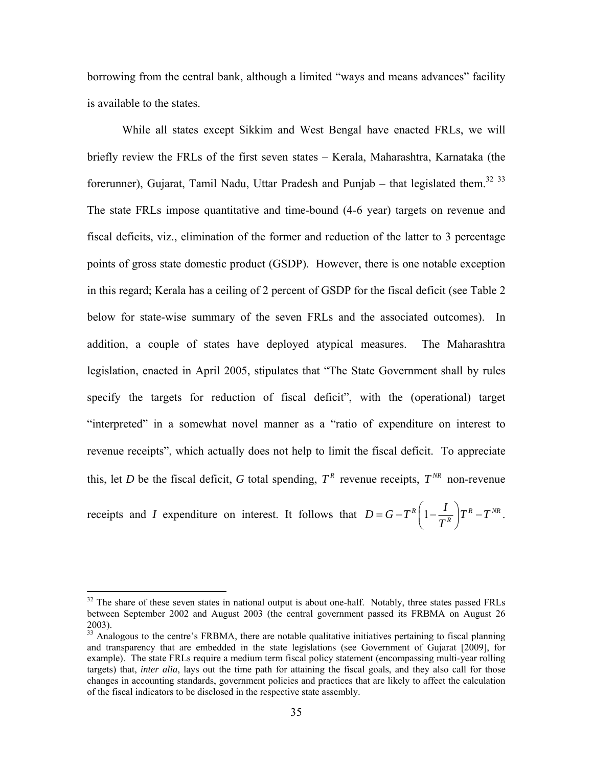borrowing from the central bank, although a limited "ways and means advances" facility is available to the states.

While all states except Sikkim and West Bengal have enacted FRLs, we will briefly review the FRLs of the first seven states – Kerala, Maharashtra, Karnataka (the forerunner), Gujarat, Tamil Nadu, Uttar Pradesh and Punjab – that legislated them.<sup>32 33</sup> The state FRLs impose quantitative and time-bound (4-6 year) targets on revenue and fiscal deficits, viz., elimination of the former and reduction of the latter to 3 percentage points of gross state domestic product (GSDP). However, there is one notable exception in this regard; Kerala has a ceiling of 2 percent of GSDP for the fiscal deficit (see Table 2 below for state-wise summary of the seven FRLs and the associated outcomes). In addition, a couple of states have deployed atypical measures. The Maharashtra legislation, enacted in April 2005, stipulates that "The State Government shall by rules specify the targets for reduction of fiscal deficit", with the (operational) target "interpreted" in a somewhat novel manner as a "ratio of expenditure on interest to revenue receipts", which actually does not help to limit the fiscal deficit. To appreciate this, let *D* be the fiscal deficit, *G* total spending,  $T^R$  revenue receipts,  $T^{NR}$  non-revenue

receipts and *I* expenditure on interest. It follows that  $D = G - T^R \left(1 - \frac{I}{T^R}\right) T^R - T^{NR}$  $= G - T^R \left( 1 - \frac{I}{T^R} \right) T^R - T^{NR}.$ 

 $\overline{a}$ 

 $32$  The share of these seven states in national output is about one-half. Notably, three states passed FRLs between September 2002 and August 2003 (the central government passed its FRBMA on August 26 2003).

<sup>&</sup>lt;sup>33</sup> Analogous to the centre's FRBMA, there are notable qualitative initiatives pertaining to fiscal planning and transparency that are embedded in the state legislations (see Government of Gujarat [2009], for example). The state FRLs require a medium term fiscal policy statement (encompassing multi-year rolling targets) that, *inter alia*, lays out the time path for attaining the fiscal goals, and they also call for those changes in accounting standards, government policies and practices that are likely to affect the calculation of the fiscal indicators to be disclosed in the respective state assembly.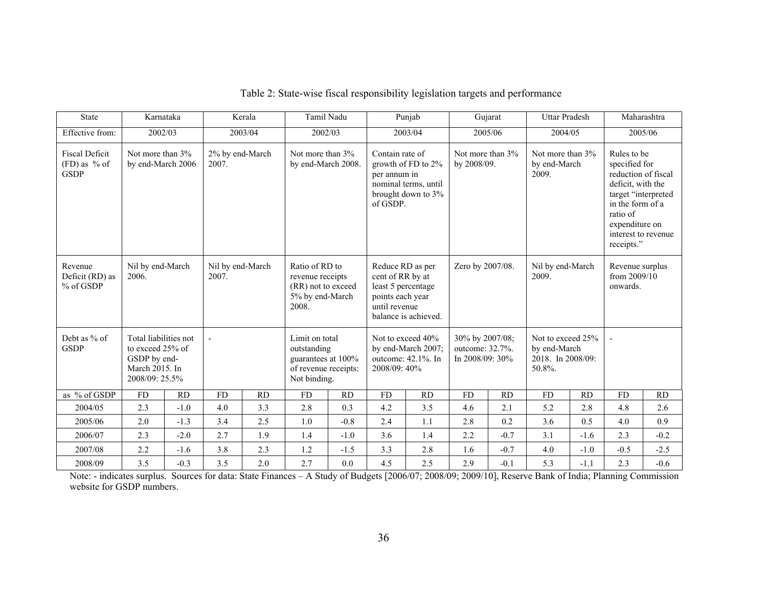| <b>State</b>                                           | Karnataka                                                                                     |           |                          | Kerala                                                                                                   | Tamil Nadu                                                                                  |                                                                                                 |                                                                                                                 | Punjab           |                                                       | Gujarat                   | <b>Uttar Pradesh</b>                                             |                                             | Maharashtra                                                                                                                                                                            |           |
|--------------------------------------------------------|-----------------------------------------------------------------------------------------------|-----------|--------------------------|----------------------------------------------------------------------------------------------------------|---------------------------------------------------------------------------------------------|-------------------------------------------------------------------------------------------------|-----------------------------------------------------------------------------------------------------------------|------------------|-------------------------------------------------------|---------------------------|------------------------------------------------------------------|---------------------------------------------|----------------------------------------------------------------------------------------------------------------------------------------------------------------------------------------|-----------|
| Effective from:                                        | 2002/03                                                                                       |           |                          | 2003/04                                                                                                  | 2002/03                                                                                     |                                                                                                 |                                                                                                                 | 2003/04          |                                                       | 2005/06                   | 2004/05                                                          |                                             | 2005/06                                                                                                                                                                                |           |
| <b>Fiscal Deficit</b><br>$(FD)$ as % of<br><b>GSDP</b> | Not more than 3%<br>by end-March 2006                                                         |           | 2% by end-March<br>2007. |                                                                                                          | Not more than 3%<br>by end-March 2008.                                                      |                                                                                                 | Contain rate of<br>growth of FD to 2%<br>per annum in<br>nominal terms, until<br>brought down to 3%<br>of GSDP. |                  | Not more than 3%<br>by 2008/09.                       |                           | Not more than 3%<br>by end-March<br>2009.                        |                                             | Rules to be<br>specified for<br>reduction of fiscal<br>deficit, with the<br>target "interpreted<br>in the form of a<br>ratio of<br>expenditure on<br>interest to revenue<br>receipts." |           |
| Revenue<br>Deficit (RD) as<br>% of GSDP                | Nil by end-March<br>2006.                                                                     |           | 2007.                    | Nil by end-March<br>Ratio of RD to<br>revenue receipts<br>(RR) not to exceed<br>5% by end-March<br>2008. |                                                                                             | Reduce RD as per<br>cent of RR by at<br>least 5 percentage<br>points each year<br>until revenue | balance is achieved.                                                                                            | Zero by 2007/08. |                                                       | Nil by end-March<br>2009. |                                                                  | Revenue surplus<br>from 2009/10<br>onwards. |                                                                                                                                                                                        |           |
| Debt as % of<br><b>GSDP</b>                            | Total liabilities not<br>to exceed 25% of<br>GSDP by end-<br>March 2015. In<br>2008/09: 25.5% |           | $\overline{a}$           |                                                                                                          | Limit on total<br>outstanding<br>guarantees at 100%<br>of revenue receipts:<br>Not binding. |                                                                                                 | Not to exceed 40%<br>by end-March 2007;<br>outcome: 42.1%. In<br>2008/09: 40%                                   |                  | 30% by 2007/08;<br>outcome: 32.7%.<br>In 2008/09: 30% |                           | Not to exceed 25%<br>by end-March<br>2018. In 2008/09:<br>50.8%. |                                             |                                                                                                                                                                                        |           |
| as % of GSDP                                           | <b>FD</b>                                                                                     | <b>RD</b> | <b>FD</b>                | <b>RD</b>                                                                                                | <b>FD</b>                                                                                   | RD                                                                                              | <b>FD</b>                                                                                                       | RD               | <b>FD</b>                                             | <b>RD</b>                 | <b>FD</b>                                                        | <b>RD</b>                                   | <b>FD</b>                                                                                                                                                                              | <b>RD</b> |
| 2004/05                                                | 2.3                                                                                           | $-1.0$    | 4.0                      | 3.3                                                                                                      | 2.8                                                                                         | 0.3                                                                                             | 4.2                                                                                                             | 3.5              | 4.6                                                   | 2.1                       | 5.2                                                              | 2.8                                         | 4.8                                                                                                                                                                                    | 2.6       |
| 2005/06                                                | 2.0                                                                                           | $-1.3$    | 3.4                      | 2.5                                                                                                      | 1.0                                                                                         | $-0.8$                                                                                          | 2.4                                                                                                             | 1.1              | 2.8                                                   | 0.2                       | 3.6                                                              | 0.5                                         | 4.0                                                                                                                                                                                    | 0.9       |
| 2006/07                                                | 2.3                                                                                           | $-2.0$    | 2.7                      | 1.9                                                                                                      | 1.4                                                                                         | $-1.0$                                                                                          | 3.6                                                                                                             | 1.4              | 2.2                                                   | $-0.7$                    | 3.1                                                              | $-1.6$                                      | 2.3                                                                                                                                                                                    | $-0.2$    |
| 2007/08                                                | 2.2                                                                                           | $-1.6$    | 3.8                      | 2.3                                                                                                      | 1.2                                                                                         | $-1.5$                                                                                          | 3.3                                                                                                             | 2.8              | 1.6                                                   | $-0.7$                    | 4.0                                                              | $-1.0$                                      | $-0.5$                                                                                                                                                                                 | $-2.5$    |
| 2008/09                                                | 3.5                                                                                           | $-0.3$    | 3.5                      | 2.0                                                                                                      | 2.7                                                                                         | 0.0                                                                                             | 4.5                                                                                                             | 2.5              | 2.9                                                   | $-0.1$                    | 5.3                                                              | $-1.1$                                      | 2.3                                                                                                                                                                                    | $-0.6$    |

# Table 2: State-wise fiscal responsibility legislation targets and performance

2008/09 3.5 -0.3 3.5 2.0 2.7 0.0 4.5 2.5 2.9 -0.1 5.3 -1.1 2.3 -0.6<br>Note: - indicates surplus. Sources for data: State Finances – A Study of Budgets [2006/07; 2008/09; 2009/10], Reserve Bank of India; Planning Commission website for GSDP numbers.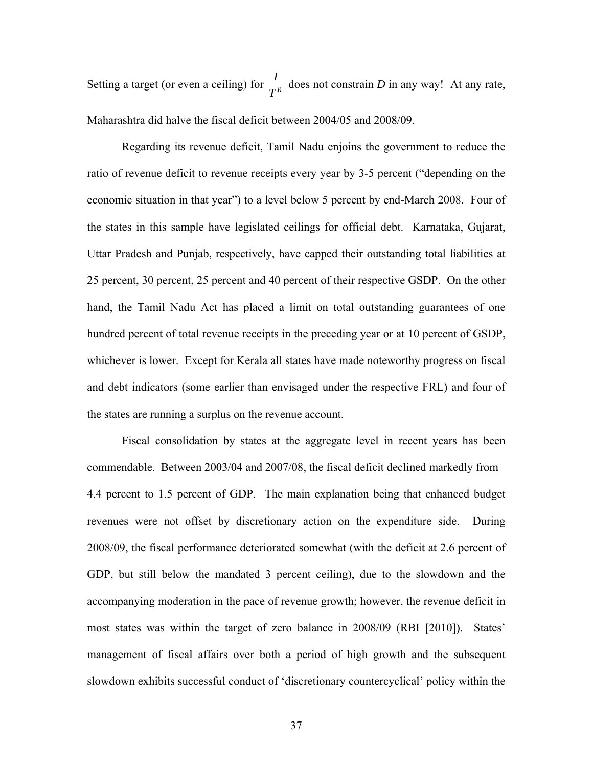Setting a target (or even a ceiling) for  $\frac{I}{T^R}$ *T* does not constrain *D* in any way! At any rate, Maharashtra did halve the fiscal deficit between 2004/05 and 2008/09.

Regarding its revenue deficit, Tamil Nadu enjoins the government to reduce the ratio of revenue deficit to revenue receipts every year by 3-5 percent ("depending on the economic situation in that year") to a level below 5 percent by end-March 2008. Four of the states in this sample have legislated ceilings for official debt. Karnataka, Gujarat, Uttar Pradesh and Punjab, respectively, have capped their outstanding total liabilities at 25 percent, 30 percent, 25 percent and 40 percent of their respective GSDP. On the other hand, the Tamil Nadu Act has placed a limit on total outstanding guarantees of one hundred percent of total revenue receipts in the preceding year or at 10 percent of GSDP, whichever is lower. Except for Kerala all states have made noteworthy progress on fiscal and debt indicators (some earlier than envisaged under the respective FRL) and four of the states are running a surplus on the revenue account.

Fiscal consolidation by states at the aggregate level in recent years has been commendable. Between 2003/04 and 2007/08, the fiscal deficit declined markedly from 4.4 percent to 1.5 percent of GDP. The main explanation being that enhanced budget revenues were not offset by discretionary action on the expenditure side. During 2008/09, the fiscal performance deteriorated somewhat (with the deficit at 2.6 percent of GDP, but still below the mandated 3 percent ceiling), due to the slowdown and the accompanying moderation in the pace of revenue growth; however, the revenue deficit in most states was within the target of zero balance in 2008/09 (RBI [2010]). States' management of fiscal affairs over both a period of high growth and the subsequent slowdown exhibits successful conduct of 'discretionary countercyclical' policy within the

37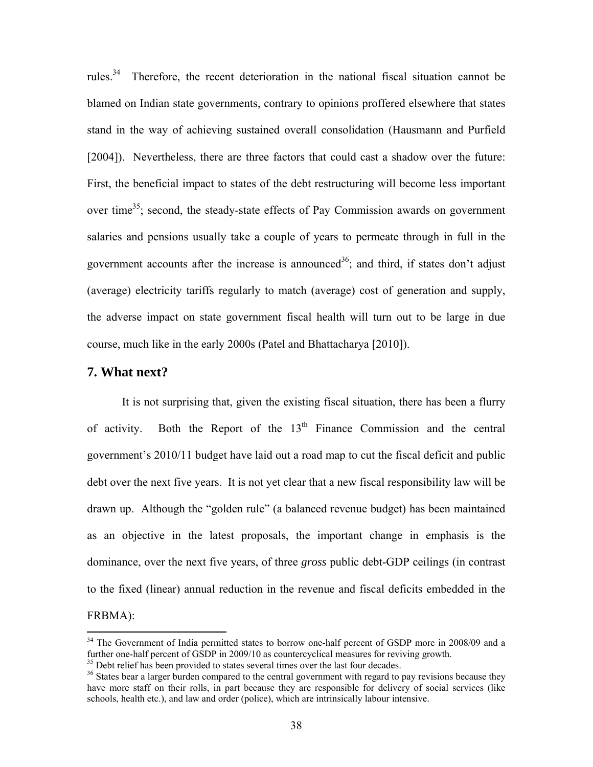rules.34 Therefore, the recent deterioration in the national fiscal situation cannot be blamed on Indian state governments, contrary to opinions proffered elsewhere that states stand in the way of achieving sustained overall consolidation (Hausmann and Purfield [2004]). Nevertheless, there are three factors that could cast a shadow over the future: First, the beneficial impact to states of the debt restructuring will become less important over time<sup>35</sup>; second, the steady-state effects of Pay Commission awards on government salaries and pensions usually take a couple of years to permeate through in full in the government accounts after the increase is announced<sup>36</sup>; and third, if states don't adjust (average) electricity tariffs regularly to match (average) cost of generation and supply, the adverse impact on state government fiscal health will turn out to be large in due course, much like in the early 2000s (Patel and Bhattacharya [2010]).

# **7. What next?**

<u>.</u>

 It is not surprising that, given the existing fiscal situation, there has been a flurry of activity. Both the Report of the  $13<sup>th</sup>$  Finance Commission and the central government's 2010/11 budget have laid out a road map to cut the fiscal deficit and public debt over the next five years. It is not yet clear that a new fiscal responsibility law will be drawn up. Although the "golden rule" (a balanced revenue budget) has been maintained as an objective in the latest proposals, the important change in emphasis is the dominance, over the next five years, of three *gross* public debt-GDP ceilings (in contrast to the fixed (linear) annual reduction in the revenue and fiscal deficits embedded in the FRBMA):

 $34$  The Government of India permitted states to borrow one-half percent of GSDP more in 2008/09 and a further one-half percent of GSDP in 2009/10 as countercyclical measures for reviving growth. <sup>35</sup> Debt relief has been provided to states several times over the last four decades.

<sup>&</sup>lt;sup>36</sup> States bear a larger burden compared to the central government with regard to pay revisions because they have more staff on their rolls, in part because they are responsible for delivery of social services (like schools, health etc.), and law and order (police), which are intrinsically labour intensive.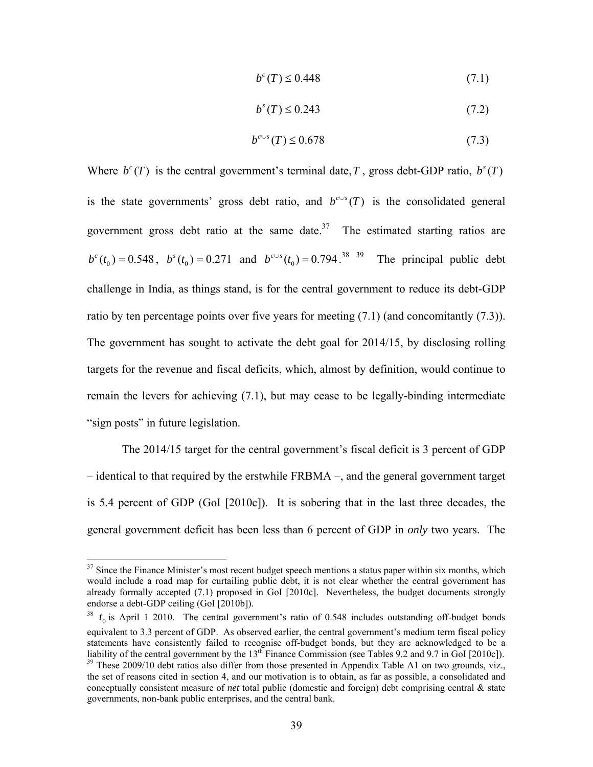$$
b^{c}(T) \leq 0.448\tag{7.1}
$$

$$
bs(T) \le 0.243
$$
\n
$$
(7.2)
$$

$$
b^{c \cup s}(T) \le 0.678\tag{7.3}
$$

Where  $b^c(T)$  is the central government's terminal date, *T*, gross debt-GDP ratio,  $b^s(T)$ is the state governments' gross debt ratio, and  $b^{c\vee s}(T)$  is the consolidated general government gross debt ratio at the same date.<sup>37</sup> The estimated starting ratios are  $b^{c}(t_0) = 0.548$ ,  $b^{s}(t_0) = 0.271$  and  $b^{c-s}(t_0) = 0.794$ .<sup>38 39</sup> The principal public debt challenge in India, as things stand, is for the central government to reduce its debt-GDP ratio by ten percentage points over five years for meeting (7.1) (and concomitantly (7.3)). The government has sought to activate the debt goal for 2014/15, by disclosing rolling targets for the revenue and fiscal deficits, which, almost by definition, would continue to remain the levers for achieving (7.1), but may cease to be legally-binding intermediate "sign posts" in future legislation.

The 2014/15 target for the central government's fiscal deficit is 3 percent of GDP – identical to that required by the erstwhile FRBMA –, and the general government target is 5.4 percent of GDP (GoI [2010c]). It is sobering that in the last three decades, the general government deficit has been less than 6 percent of GDP in *only* two years. The

1

 $37$  Since the Finance Minister's most recent budget speech mentions a status paper within six months, which would include a road map for curtailing public debt, it is not clear whether the central government has already formally accepted (7.1) proposed in GoI [2010c]. Nevertheless, the budget documents strongly endorse a debt-GDP ceiling (GoI [2010b]).

 $t_0$  is April 1 2010. The central government's ratio of 0.548 includes outstanding off-budget bonds equivalent to 3.3 percent of GDP. As observed earlier, the central government's medium term fiscal policy statements have consistently failed to recognise off-budget bonds, but they are acknowledged to be a liability of the central government by the  $13<sup>th</sup>$  Finance Commission (see Tables 9.2 and 9.7 in GoI [2010c]).<br><sup>39</sup> These 2009/10 debt ratios also differ from those presented in Appendix Table A1 on two grounds, viz., the set of reasons cited in section 4, and our motivation is to obtain, as far as possible, a consolidated and conceptually consistent measure of *net* total public (domestic and foreign) debt comprising central & state governments, non-bank public enterprises, and the central bank.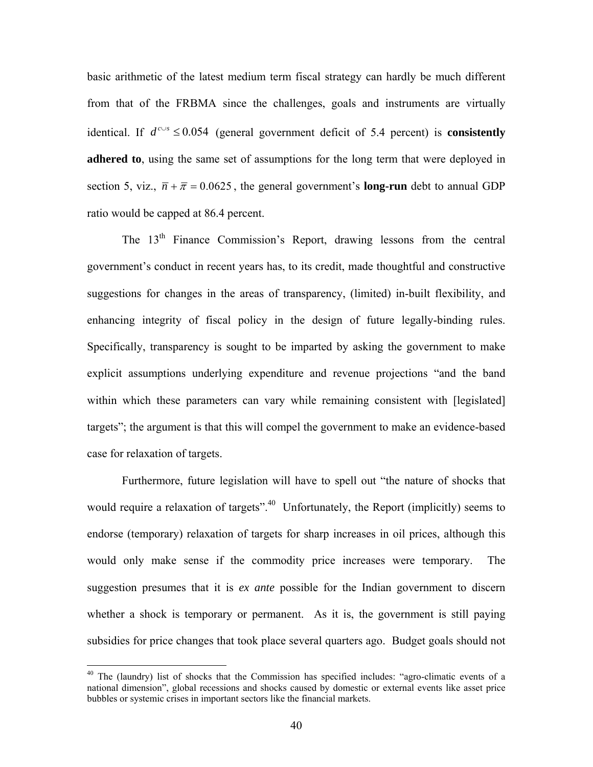basic arithmetic of the latest medium term fiscal strategy can hardly be much different from that of the FRBMA since the challenges, goals and instruments are virtually identical. If  $d^{c\text{∪s}}$  ≤ 0.054 (general government deficit of 5.4 percent) is **consistently adhered to**, using the same set of assumptions for the long term that were deployed in section 5, viz.,  $\overline{n} + \overline{\pi} = 0.0625$ , the general government's **long-run** debt to annual GDP ratio would be capped at 86.4 percent.

The 13<sup>th</sup> Finance Commission's Report, drawing lessons from the central government's conduct in recent years has, to its credit, made thoughtful and constructive suggestions for changes in the areas of transparency, (limited) in-built flexibility, and enhancing integrity of fiscal policy in the design of future legally-binding rules. Specifically, transparency is sought to be imparted by asking the government to make explicit assumptions underlying expenditure and revenue projections "and the band within which these parameters can vary while remaining consistent with [legislated] targets"; the argument is that this will compel the government to make an evidence-based case for relaxation of targets.

Furthermore, future legislation will have to spell out "the nature of shocks that would require a relaxation of targets".<sup>40</sup> Unfortunately, the Report (implicitly) seems to endorse (temporary) relaxation of targets for sharp increases in oil prices, although this would only make sense if the commodity price increases were temporary. The suggestion presumes that it is *ex ante* possible for the Indian government to discern whether a shock is temporary or permanent. As it is, the government is still paying subsidies for price changes that took place several quarters ago. Budget goals should not

<u>.</u>

<sup>&</sup>lt;sup>40</sup> The (laundry) list of shocks that the Commission has specified includes: "agro-climatic events of a national dimension", global recessions and shocks caused by domestic or external events like asset price bubbles or systemic crises in important sectors like the financial markets.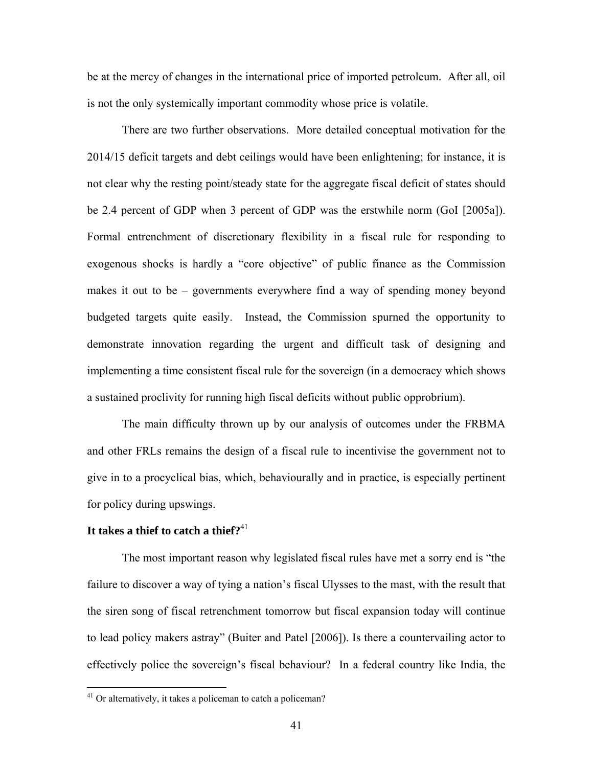be at the mercy of changes in the international price of imported petroleum. After all, oil is not the only systemically important commodity whose price is volatile.

There are two further observations. More detailed conceptual motivation for the 2014/15 deficit targets and debt ceilings would have been enlightening; for instance, it is not clear why the resting point/steady state for the aggregate fiscal deficit of states should be 2.4 percent of GDP when 3 percent of GDP was the erstwhile norm (GoI [2005a]). Formal entrenchment of discretionary flexibility in a fiscal rule for responding to exogenous shocks is hardly a "core objective" of public finance as the Commission makes it out to be – governments everywhere find a way of spending money beyond budgeted targets quite easily. Instead, the Commission spurned the opportunity to demonstrate innovation regarding the urgent and difficult task of designing and implementing a time consistent fiscal rule for the sovereign (in a democracy which shows a sustained proclivity for running high fiscal deficits without public opprobrium).

The main difficulty thrown up by our analysis of outcomes under the FRBMA and other FRLs remains the design of a fiscal rule to incentivise the government not to give in to a procyclical bias, which, behaviourally and in practice, is especially pertinent for policy during upswings.

## **It takes a thief to catch a thief?**<sup>41</sup>

 $\overline{a}$ 

The most important reason why legislated fiscal rules have met a sorry end is "the failure to discover a way of tying a nation's fiscal Ulysses to the mast, with the result that the siren song of fiscal retrenchment tomorrow but fiscal expansion today will continue to lead policy makers astray" (Buiter and Patel [2006]). Is there a countervailing actor to effectively police the sovereign's fiscal behaviour? In a federal country like India, the

 $41$  Or alternatively, it takes a policeman to catch a policeman?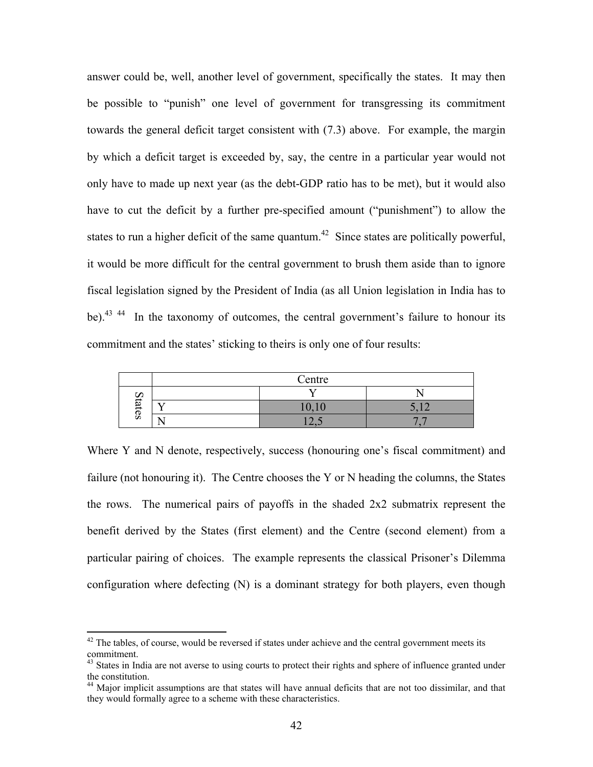answer could be, well, another level of government, specifically the states. It may then be possible to "punish" one level of government for transgressing its commitment towards the general deficit target consistent with (7.3) above. For example, the margin by which a deficit target is exceeded by, say, the centre in a particular year would not only have to made up next year (as the debt-GDP ratio has to be met), but it would also have to cut the deficit by a further pre-specified amount ("punishment") to allow the states to run a higher deficit of the same quantum.<sup>42</sup> Since states are politically powerful, it would be more difficult for the central government to brush them aside than to ignore fiscal legislation signed by the President of India (as all Union legislation in India has to be).<sup>43 44</sup> In the taxonomy of outcomes, the central government's failure to honour its commitment and the states' sticking to theirs is only one of four results:

|              | Centre                          |        |
|--------------|---------------------------------|--------|
|              |                                 |        |
| డె           | $1^{\prime}$ 1 $\prime$<br>10,1 | $\sim$ |
| $\mathbf{S}$ |                                 |        |

Where Y and N denote, respectively, success (honouring one's fiscal commitment) and failure (not honouring it). The Centre chooses the Y or N heading the columns, the States the rows. The numerical pairs of payoffs in the shaded 2x2 submatrix represent the benefit derived by the States (first element) and the Centre (second element) from a particular pairing of choices. The example represents the classical Prisoner's Dilemma configuration where defecting (N) is a dominant strategy for both players, even though

 $\overline{a}$ 

 $42$  The tables, of course, would be reversed if states under achieve and the central government meets its commitment.

<sup>&</sup>lt;sup>43</sup> States in India are not averse to using courts to protect their rights and sphere of influence granted under the constitution.

<sup>&</sup>lt;sup>44</sup> Major implicit assumptions are that states will have annual deficits that are not too dissimilar, and that they would formally agree to a scheme with these characteristics.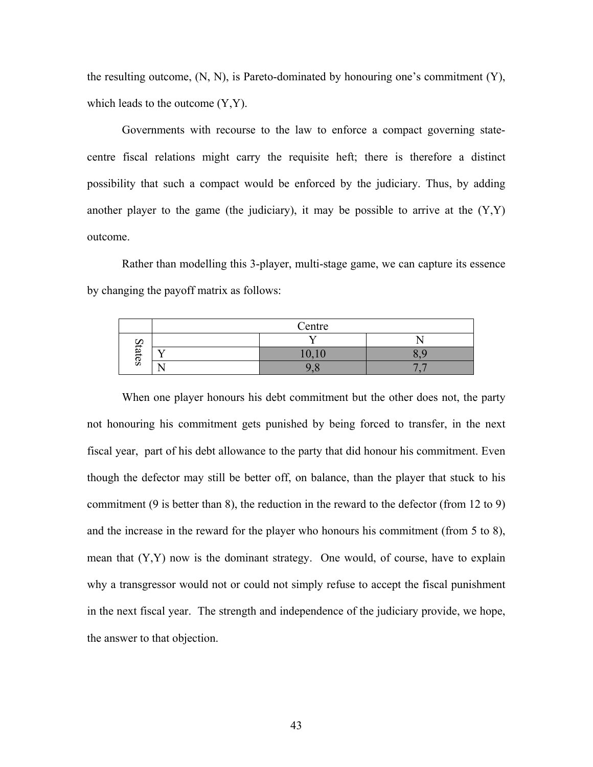the resulting outcome,  $(N, N)$ , is Pareto-dominated by honouring one's commitment  $(Y)$ , which leads to the outcome  $(Y, Y)$ .

Governments with recourse to the law to enforce a compact governing statecentre fiscal relations might carry the requisite heft; there is therefore a distinct possibility that such a compact would be enforced by the judiciary. Thus, by adding another player to the game (the judiciary), it may be possible to arrive at the  $(Y,Y)$ outcome.

Rather than modelling this 3-player, multi-stage game, we can capture its essence by changing the payoff matrix as follows:

|           | Centre |                |
|-----------|--------|----------------|
| ∽         |        |                |
| <b>zi</b> | 10.10  |                |
| CS        |        | $\overline{ }$ |

When one player honours his debt commitment but the other does not, the party not honouring his commitment gets punished by being forced to transfer, in the next fiscal year, part of his debt allowance to the party that did honour his commitment. Even though the defector may still be better off, on balance, than the player that stuck to his commitment (9 is better than 8), the reduction in the reward to the defector (from 12 to 9) and the increase in the reward for the player who honours his commitment (from 5 to 8), mean that (Y,Y) now is the dominant strategy. One would, of course, have to explain why a transgressor would not or could not simply refuse to accept the fiscal punishment in the next fiscal year. The strength and independence of the judiciary provide, we hope, the answer to that objection.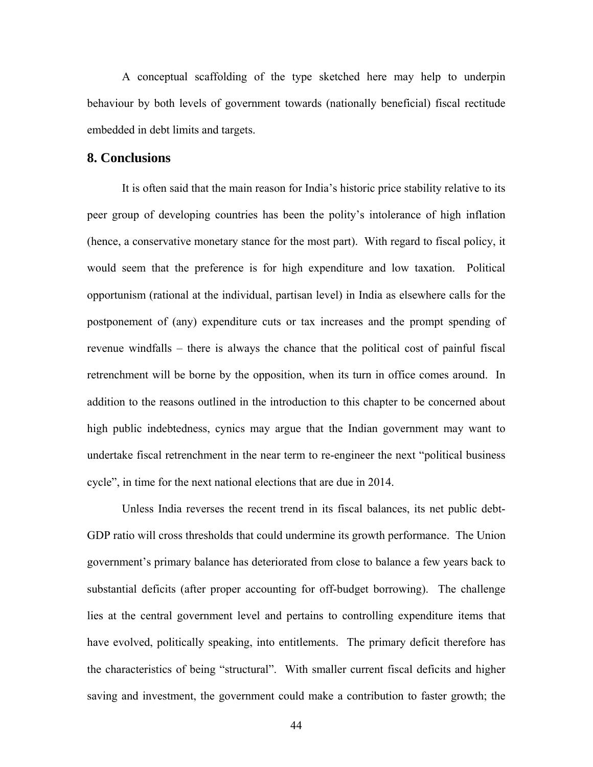A conceptual scaffolding of the type sketched here may help to underpin behaviour by both levels of government towards (nationally beneficial) fiscal rectitude embedded in debt limits and targets.

## **8. Conclusions**

It is often said that the main reason for India's historic price stability relative to its peer group of developing countries has been the polity's intolerance of high inflation (hence, a conservative monetary stance for the most part). With regard to fiscal policy, it would seem that the preference is for high expenditure and low taxation. Political opportunism (rational at the individual, partisan level) in India as elsewhere calls for the postponement of (any) expenditure cuts or tax increases and the prompt spending of revenue windfalls – there is always the chance that the political cost of painful fiscal retrenchment will be borne by the opposition, when its turn in office comes around. In addition to the reasons outlined in the introduction to this chapter to be concerned about high public indebtedness, cynics may argue that the Indian government may want to undertake fiscal retrenchment in the near term to re-engineer the next "political business cycle", in time for the next national elections that are due in 2014.

Unless India reverses the recent trend in its fiscal balances, its net public debt-GDP ratio will cross thresholds that could undermine its growth performance. The Union government's primary balance has deteriorated from close to balance a few years back to substantial deficits (after proper accounting for off-budget borrowing). The challenge lies at the central government level and pertains to controlling expenditure items that have evolved, politically speaking, into entitlements. The primary deficit therefore has the characteristics of being "structural". With smaller current fiscal deficits and higher saving and investment, the government could make a contribution to faster growth; the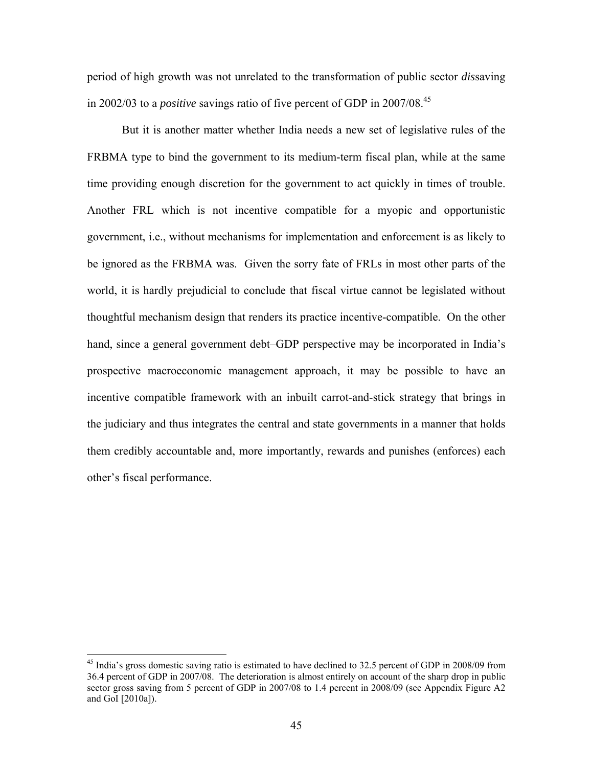period of high growth was not unrelated to the transformation of public sector *dis*saving in 2002/03 to a *positive* savings ratio of five percent of GDP in 2007/08.45

But it is another matter whether India needs a new set of legislative rules of the FRBMA type to bind the government to its medium-term fiscal plan, while at the same time providing enough discretion for the government to act quickly in times of trouble. Another FRL which is not incentive compatible for a myopic and opportunistic government, i.e., without mechanisms for implementation and enforcement is as likely to be ignored as the FRBMA was. Given the sorry fate of FRLs in most other parts of the world, it is hardly prejudicial to conclude that fiscal virtue cannot be legislated without thoughtful mechanism design that renders its practice incentive-compatible. On the other hand, since a general government debt–GDP perspective may be incorporated in India's prospective macroeconomic management approach, it may be possible to have an incentive compatible framework with an inbuilt carrot-and-stick strategy that brings in the judiciary and thus integrates the central and state governments in a manner that holds them credibly accountable and, more importantly, rewards and punishes (enforces) each other's fiscal performance.

 $\overline{a}$ 

<sup>&</sup>lt;sup>45</sup> India's gross domestic saving ratio is estimated to have declined to 32.5 percent of GDP in 2008/09 from 36.4 percent of GDP in 2007/08. The deterioration is almost entirely on account of the sharp drop in public sector gross saving from 5 percent of GDP in 2007/08 to 1.4 percent in 2008/09 (see Appendix Figure A2 and GoI [2010a]).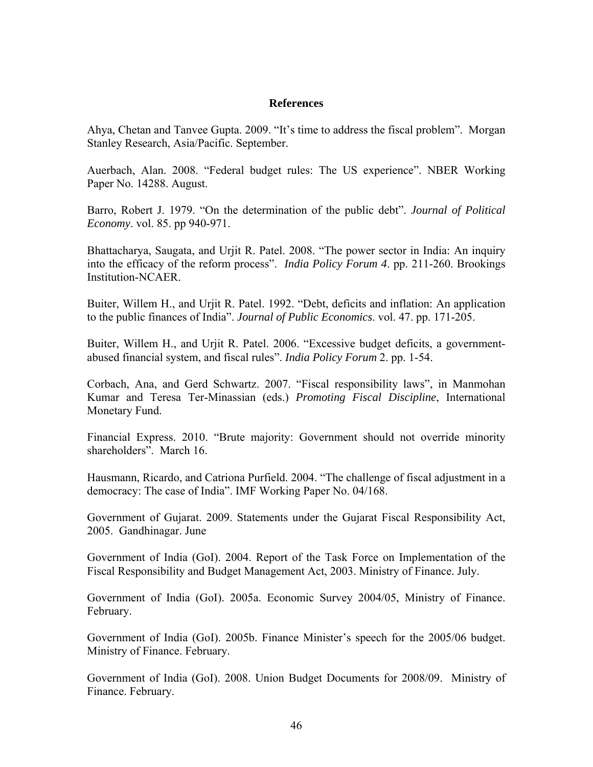### **References**

Ahya, Chetan and Tanvee Gupta. 2009. "It's time to address the fiscal problem". Morgan Stanley Research, Asia/Pacific. September.

Auerbach, Alan. 2008. "Federal budget rules: The US experience". NBER Working Paper No. 14288. August.

Barro, Robert J. 1979. "On the determination of the public debt". *Journal of Political Economy*. vol. 85. pp 940-971.

Bhattacharya, Saugata, and Urjit R. Patel. 2008. "The power sector in India: An inquiry into the efficacy of the reform process". *India Policy Forum 4*. pp. 211-260. Brookings Institution-NCAER.

Buiter, Willem H., and Urjit R. Patel. 1992. "Debt, deficits and inflation: An application to the public finances of India". *Journal of Public Economics*. vol. 47. pp. 171-205.

Buiter, Willem H., and Urjit R. Patel. 2006. "Excessive budget deficits, a governmentabused financial system, and fiscal rules". *India Policy Forum* 2. pp. 1-54.

Corbach, Ana, and Gerd Schwartz. 2007. "Fiscal responsibility laws", in Manmohan Kumar and Teresa Ter-Minassian (eds.) *Promoting Fiscal Discipline*, International Monetary Fund.

Financial Express. 2010. "Brute majority: Government should not override minority shareholders". March 16.

Hausmann, Ricardo, and Catriona Purfield. 2004. "The challenge of fiscal adjustment in a democracy: The case of India". IMF Working Paper No. 04/168.

Government of Gujarat. 2009. Statements under the Gujarat Fiscal Responsibility Act, 2005. Gandhinagar. June

Government of India (GoI). 2004. Report of the Task Force on Implementation of the Fiscal Responsibility and Budget Management Act, 2003. Ministry of Finance. July.

Government of India (GoI). 2005a. Economic Survey 2004/05, Ministry of Finance. February.

Government of India (GoI). 2005b. Finance Minister's speech for the 2005/06 budget. Ministry of Finance. February.

Government of India (GoI). 2008. Union Budget Documents for 2008/09. Ministry of Finance. February.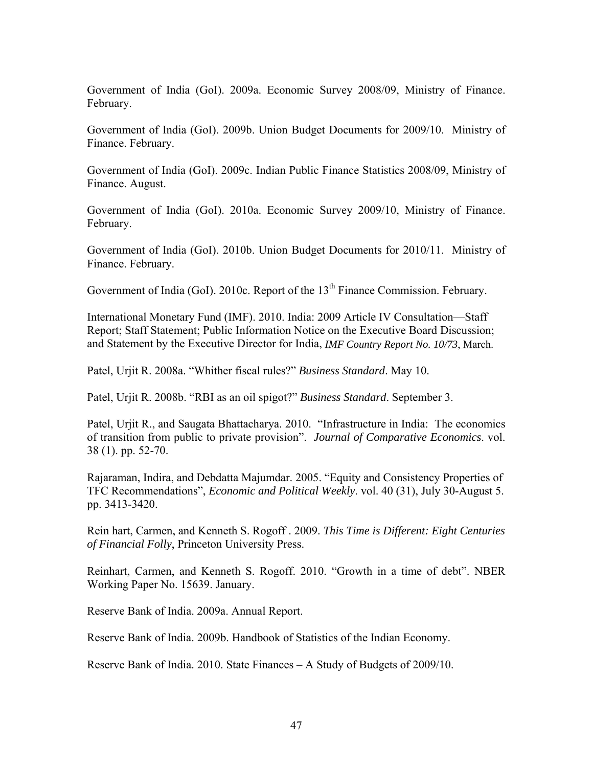Government of India (GoI). 2009a. Economic Survey 2008/09, Ministry of Finance. February.

Government of India (GoI). 2009b. Union Budget Documents for 2009/10. Ministry of Finance. February.

Government of India (GoI). 2009c. Indian Public Finance Statistics 2008/09, Ministry of Finance. August.

Government of India (GoI). 2010a. Economic Survey 2009/10, Ministry of Finance. February.

Government of India (GoI). 2010b. Union Budget Documents for 2010/11. Ministry of Finance. February.

Government of India (GoI). 2010c. Report of the 13<sup>th</sup> Finance Commission. February.

International Monetary Fund (IMF). 2010. India: 2009 Article IV Consultation—Staff Report; Staff Statement; Public Information Notice on the Executive Board Discussion; and Statement by the Executive Director for India, *IMF Country Report No. 10/73*, March.

Patel, Urjit R. 2008a. "Whither fiscal rules?" *Business Standard*. May 10.

Patel, Urjit R. 2008b. "RBI as an oil spigot?" *Business Standard*. September 3.

Patel, Urjit R., and Saugata Bhattacharya. 2010. "Infrastructure in India: The economics of transition from public to private provision". *Journal of Comparative Economics*. vol. 38 (1). pp. 52-70.

Rajaraman, Indira, and Debdatta Majumdar. 2005. "Equity and Consistency Properties of TFC Recommendations", *Economic and Political Weekly*. vol. 40 (31), July 30-August 5. pp. 3413-3420.

Rein hart, Carmen, and Kenneth S. Rogoff . 2009. *This Time is Different: Eight Centuries of Financial Folly*, Princeton University Press.

Reinhart, Carmen, and Kenneth S. Rogoff. 2010. "Growth in a time of debt". NBER Working Paper No. 15639. January.

Reserve Bank of India. 2009a. Annual Report.

Reserve Bank of India. 2009b. Handbook of Statistics of the Indian Economy.

Reserve Bank of India. 2010. State Finances – A Study of Budgets of 2009/10.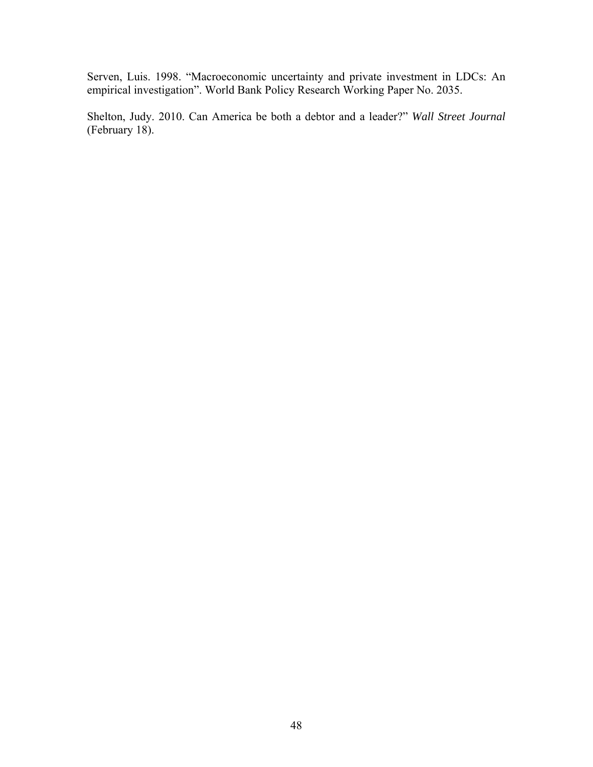Serven, Luis. 1998. "Macroeconomic uncertainty and private investment in LDCs: An empirical investigation". World Bank Policy Research Working Paper No. 2035.

Shelton, Judy. 2010. Can America be both a debtor and a leader?" *Wall Street Journal* (February 18).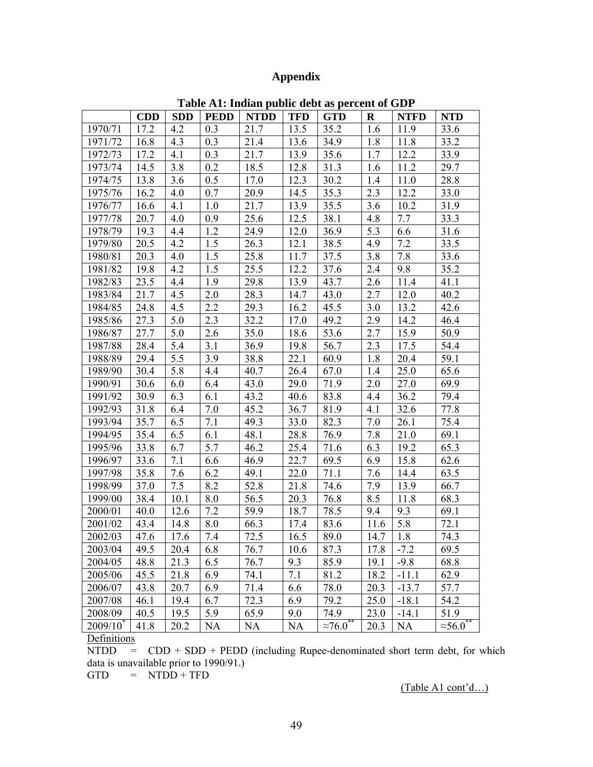# **Appendix**

|             | <b>CDD</b> | <b>SDD</b> | <b>PEDD</b> | <b>NTDD</b> | <b>TFD</b> | <b>GTD</b>          | $\bf R$ | <b>NTFD</b> | <b>NTD</b>       |
|-------------|------------|------------|-------------|-------------|------------|---------------------|---------|-------------|------------------|
| 1970/71     | 17.2       | 4.2        | 0.3         | 21.7        | 13.5       | 35.2                | 1.6     | 11.9        | 33.6             |
| 1971/72     | 16.8       | 4.3        | 0.3         | 21.4        | 13.6       | 34.9                | 1.8     | 11.8        | 33.2             |
| 1972/73     | 17.2       | 4.1        | 0.3         | 21.7        | 13.9       | 35.6                | 1.7     | 12.2        | 33.9             |
| 1973/74     | 14.5       | 3.8        | 0.2         | 18.5        | 12.8       | 31.3                | 1.6     | 11.2        | 29.7             |
| 1974/75     | 13.8       | 3.6        | 0.5         | 17.0        | 12.3       | 30.2                | 1.4     | 11.0        | 28.8             |
| 1975/76     | 16.2       | 4.0        | 0.7         | 20.9        | 14.5       | 35.3                | 2.3     | 12.2        | 33.0             |
| 1976/77     | 16.6       | 4.1        | 1.0         | 21.7        | 13.9       | 35.5                | 3.6     | 10.2        | 31.9             |
| 1977/78     | 20.7       | 4.0        | 0.9         | 25.6        | 12.5       | 38.1                | 4.8     | 7.7         | 33.3             |
| 1978/79     | 19.3       | 4.4        | 1.2         | 24.9        | 12.0       | 36.9                | 5.3     | 6.6         | 31.6             |
| 1979/80     | 20.5       | 4.2        | 1.5         | 26.3        | 12.1       | 38.5                | 4.9     | 7.2         | 33.5             |
| 1980/81     | 20.3       | 4.0        | 1.5         | 25.8        | 11.7       | 37.5                | 3.8     | 7.8         | 33.6             |
| 1981/82     | 19.8       | 4.2        | 1.5         | 25.5        | 12.2       | 37.6                | 2.4     | 9.8         | 35.2             |
| 1982/83     | 23.5       | 4.4        | 1.9         | 29.8        | 13.9       | 43.7                | 2.6     | 11.4        | 41.1             |
| 1983/84     | 21.7       | 4.5        | 2.0         | 28.3        | 14.7       | 43.0                | 2.7     | 12.0        | 40.2             |
| 1984/85     | 24.8       | 4.5        | 2.2         | 29.3        | 16.2       | 45.5                | 3.0     | 13.2        | 42.6             |
| 1985/86     | 27.3       | 5.0        | 2.3         | 32.2        | 17.0       | 49.2                | 2.9     | 14.2        | 46.4             |
| 1986/87     | 27.7       | $5.0\,$    | 2.6         | 35.0        | 18.6       | 53.6                | 2.7     | 15.9        | 50.9             |
| 1987/88     | 28.4       | 5.4        | 3.1         | 36.9        | 19.8       | 56.7                | 2.3     | 17.5        | 54.4             |
| 1988/89     | 29.4       | 5.5        | 3.9         | 38.8        | 22.1       | 60.9                | 1.8     | 20.4        | 59.1             |
| 1989/90     | 30.4       | 5.8        | 4.4         | 40.7        | 26.4       | 67.0                | 1.4     | 25.0        | 65.6             |
| 1990/91     | 30.6       | 6.0        | 6.4         | 43.0        | 29.0       | 71.9                | 2.0     | 27.0        | 69.9             |
| 1991/92     | 30.9       | 6.3        | 6.1         | 43.2        | 40.6       | 83.8                | 4.4     | 36.2        | 79.4             |
| 1992/93     | 31.8       | 6.4        | 7.0         | 45.2        | 36.7       | 81.9                | 4.1     | 32.6        | 77.8             |
| 1993/94     | 35.7       | 6.5        | 7.1         | 49.3        | 33.0       | 82.3                | 7.0     | 26.1        | 75.4             |
| 1994/95     | 35.4       | 6.5        | 6.1         | 48.1        | 28.8       | 76.9                | 7.8     | 21.0        | 69.1             |
| 1995/96     | 33.8       | 6.7        | 5.7         | 46.2        | 25.4       | 71.6                | 6.3     | 19.2        | 65.3             |
| 1996/97     | 33.6       | 7.1        | 6.6         | 46.9        | 22.7       | 69.5                | 6.9     | 15.8        | 62.6             |
| 1997/98     | 35.8       | 7.6        | 6.2         | 49.1        | 22.0       | 71.1                | 7.6     | 14.4        | 63.5             |
| 1998/99     | 37.0       | 7.5        | 8.2         | 52.8        | 21.8       | 74.6                | 7.9     | 13.9        | 66.7             |
| 1999/00     | 38.4       | 10.1       | 8.0         | 56.5        | 20.3       | 76.8                | 8.5     | 11.8        | 68.3             |
| 2000/01     | 40.0       | 12.6       | 7.2         | 59.9        | 18.7       | 78.5                | 9.4     | 9.3         | 69.1             |
| 2001/02     | 43.4       | 14.8       | 8.0         | 66.3        | 17.4       | 83.6                | 11.6    | 5.8         | 72.1             |
| 2002/03     | 47.6       | 17.6       | 7.4         | 72.5        | 16.5       | 89.0                | 14.7    | 1.8         | 74.3             |
| 2003/04     | 49.5       | 20.4       | 6.8         | 76.7        | 10.6       | 87.3                | 17.8    | $-7.2$      | 69.5             |
| 2004/05     | 48.8       | 21.3       | 6.5         | 76.7        | 9.3        | 85.9                | 19.1    | $-9.8$      | 68.8             |
| 2005/06     | 45.5       | 21.8       | 6.9         | 74.1        | 7.1        | 81.2                | 18.2    | $-11.1$     | 62.9             |
| 2006/07     | 43.8       | 20.7       | 6.9         | 71.4        | 6.6        | 78.0                | 20.3    | $-13.7$     | 57.7             |
| 2007/08     | 46.1       | 19.4       | 6.7         | 72.3        | 6.9        | 79.2                | 25.0    | $-18.1$     | 54.2             |
| 2008/09     | 40.5       | 19.5       | 5.9         | 65.9        | 9.0        | 74.9                | 23.0    | $-14.1$     | 51.9             |
| $2009/10^*$ | 41.8       | 20.2       | NA          | NA          | NA         | $\approx 76.0^{**}$ | 20.3    | <b>NA</b>   | $\approx 56.0^*$ |

**Table A1: Indian public debt as percent of GDP**

**Definitions** 

 $\overline{\text{NTDD}}$  = CDD + SDD + PEDD (including Rupee-denominated short term debt, for which data is unavailable prior to 1990/91.)

 $GTD = NTDD + TFD$ 

(Table A1 cont'd…)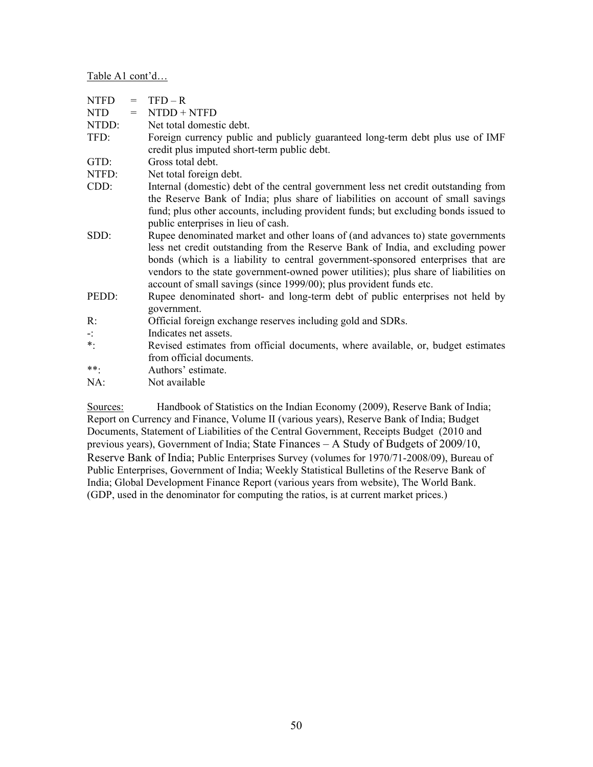Table A1 cont'd…

| <b>NTFD</b> | $=$ | $TFD - R$                                                                                                                                                                                                                                                                                                                                                                                                             |
|-------------|-----|-----------------------------------------------------------------------------------------------------------------------------------------------------------------------------------------------------------------------------------------------------------------------------------------------------------------------------------------------------------------------------------------------------------------------|
| <b>NTD</b>  | $=$ | $N TDD + N TFD$                                                                                                                                                                                                                                                                                                                                                                                                       |
| NTDD:       |     | Net total domestic debt.                                                                                                                                                                                                                                                                                                                                                                                              |
| TFD:        |     | Foreign currency public and publicly guaranteed long-term debt plus use of IMF<br>credit plus imputed short-term public debt.                                                                                                                                                                                                                                                                                         |
| GTD:        |     | Gross total debt.                                                                                                                                                                                                                                                                                                                                                                                                     |
| NTFD:       |     | Net total foreign debt.                                                                                                                                                                                                                                                                                                                                                                                               |
| $CDD$ :     |     | Internal (domestic) debt of the central government less net credit outstanding from                                                                                                                                                                                                                                                                                                                                   |
|             |     | the Reserve Bank of India; plus share of liabilities on account of small savings<br>fund; plus other accounts, including provident funds; but excluding bonds issued to<br>public enterprises in lieu of cash.                                                                                                                                                                                                        |
| SDD:        |     | Rupee denominated market and other loans of (and advances to) state governments<br>less net credit outstanding from the Reserve Bank of India, and excluding power<br>bonds (which is a liability to central government-sponsored enterprises that are<br>vendors to the state government-owned power utilities); plus share of liabilities on<br>account of small savings (since 1999/00); plus provident funds etc. |
| PEDD:       |     | Rupee denominated short- and long-term debt of public enterprises not held by<br>government.                                                                                                                                                                                                                                                                                                                          |
| $R$ :       |     | Official foreign exchange reserves including gold and SDRs.                                                                                                                                                                                                                                                                                                                                                           |
| ÷Ì,         |     | Indicates net assets.                                                                                                                                                                                                                                                                                                                                                                                                 |
| $\ast$ .    |     | Revised estimates from official documents, where available, or, budget estimates<br>from official documents.                                                                                                                                                                                                                                                                                                          |
| **.         |     | Authors' estimate.                                                                                                                                                                                                                                                                                                                                                                                                    |
| NA:         |     | Not available                                                                                                                                                                                                                                                                                                                                                                                                         |

Sources: Handbook of Statistics on the Indian Economy (2009), Reserve Bank of India; Report on Currency and Finance, Volume II (various years), Reserve Bank of India; Budget Documents, Statement of Liabilities of the Central Government, Receipts Budget (2010 and previous years), Government of India; State Finances – A Study of Budgets of 2009/10, Reserve Bank of India; Public Enterprises Survey (volumes for 1970/71-2008/09), Bureau of Public Enterprises, Government of India; Weekly Statistical Bulletins of the Reserve Bank of India; Global Development Finance Report (various years from website), The World Bank. (GDP, used in the denominator for computing the ratios, is at current market prices.)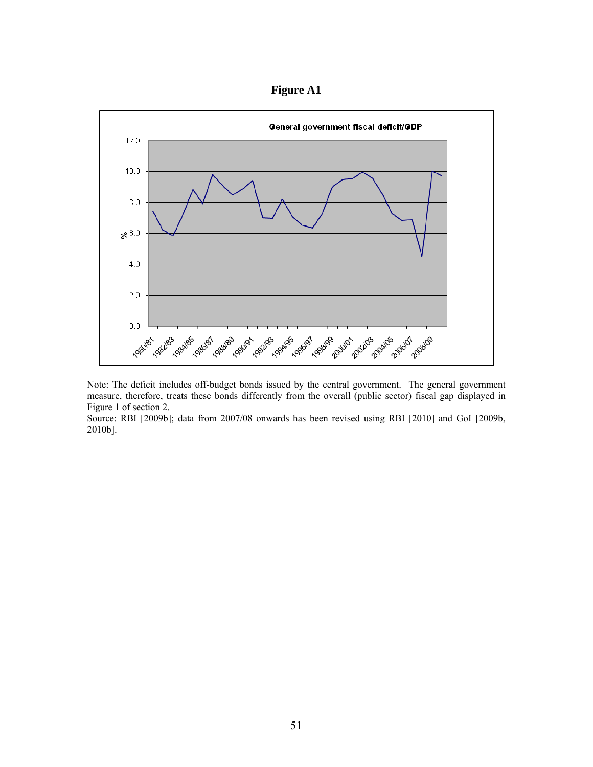



Note: The deficit includes off-budget bonds issued by the central government. The general government measure, therefore, treats these bonds differently from the overall (public sector) fiscal gap displayed in Figure 1 of section 2.

Source: RBI [2009b]; data from 2007/08 onwards has been revised using RBI [2010] and GoI [2009b, 2010b].